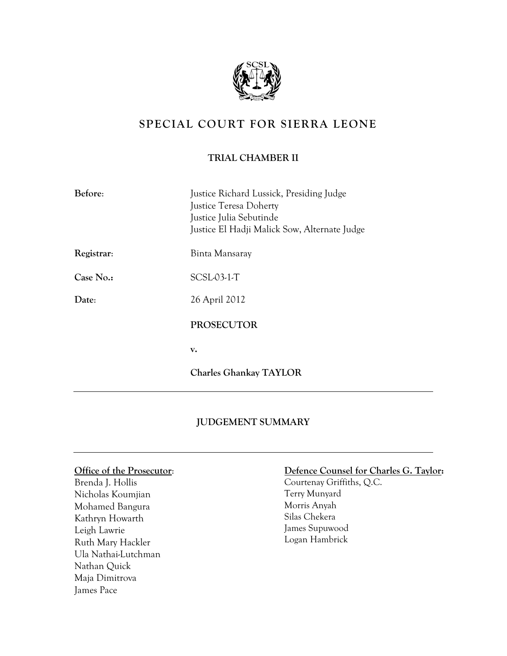

# **SPECIAL COURT FOR SIERRA LEONE**

### **TRIAL CHAMBER II**

| Before:    | Justice Richard Lussick, Presiding Judge<br><b>Justice Teresa Doherty</b><br>Justice Julia Sebutinde<br>Justice El Hadji Malick Sow, Alternate Judge |
|------------|------------------------------------------------------------------------------------------------------------------------------------------------------|
| Registrar: | Binta Mansaray                                                                                                                                       |
| Case No.:  | $SCSL03-1-T$                                                                                                                                         |
| Date:      | 26 April 2012                                                                                                                                        |
|            | <b>PROSECUTOR</b>                                                                                                                                    |
|            | $\mathbf{v}$ .                                                                                                                                       |
|            | <b>Charles Ghankay TAYLOR</b>                                                                                                                        |

### **JUDGEMENT SUMMARY**

Brenda J. Hollis Nicholas Koumjian Mohamed Bangura Kathryn Howarth Leigh Lawrie Ruth Mary Hackler Ula Nathai-Lutchman Nathan Quick Maja Dimitrova James Pace

### **Office of the Prosecutor**: **Defence Counsel for Charles G. Taylor:**

Courtenay Griffiths, Q.C. Terry Munyard Morris Anyah Silas Chekera James Supuwood Logan Hambrick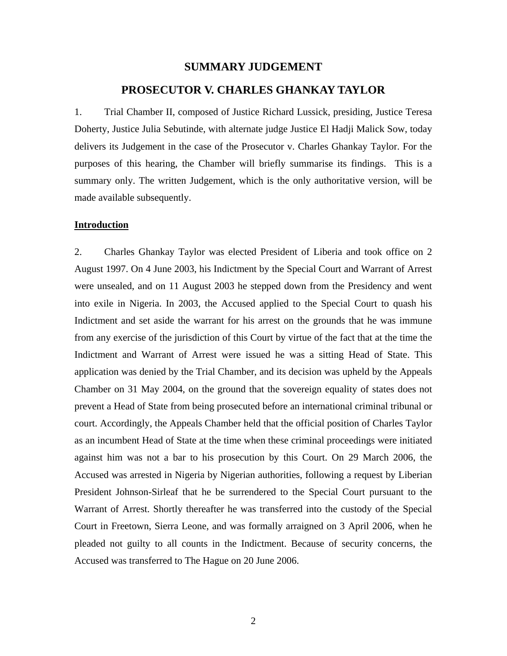#### **SUMMARY JUDGEMENT**

#### **PROSECUTOR V. CHARLES GHANKAY TAYLOR**

1. Trial Chamber II, composed of Justice Richard Lussick, presiding, Justice Teresa Doherty, Justice Julia Sebutinde, with alternate judge Justice El Hadji Malick Sow, today delivers its Judgement in the case of the Prosecutor v. Charles Ghankay Taylor. For the purposes of this hearing, the Chamber will briefly summarise its findings. This is a summary only. The written Judgement, which is the only authoritative version, will be made available subsequently.

#### **Introduction**

2. Charles Ghankay Taylor was elected President of Liberia and took office on 2 August 1997. On 4 June 2003, his Indictment by the Special Court and Warrant of Arrest were unsealed, and on 11 August 2003 he stepped down from the Presidency and went into exile in Nigeria. In 2003, the Accused applied to the Special Court to quash his Indictment and set aside the warrant for his arrest on the grounds that he was immune from any exercise of the jurisdiction of this Court by virtue of the fact that at the time the Indictment and Warrant of Arrest were issued he was a sitting Head of State. This application was denied by the Trial Chamber, and its decision was upheld by the Appeals Chamber on 31 May 2004, on the ground that the sovereign equality of states does not prevent a Head of State from being prosecuted before an international criminal tribunal or court. Accordingly, the Appeals Chamber held that the official position of Charles Taylor as an incumbent Head of State at the time when these criminal proceedings were initiated against him was not a bar to his prosecution by this Court. On 29 March 2006, the Accused was arrested in Nigeria by Nigerian authorities, following a request by Liberian President Johnson-Sirleaf that he be surrendered to the Special Court pursuant to the Warrant of Arrest. Shortly thereafter he was transferred into the custody of the Special Court in Freetown, Sierra Leone, and was formally arraigned on 3 April 2006, when he pleaded not guilty to all counts in the Indictment. Because of security concerns, the Accused was transferred to The Hague on 20 June 2006.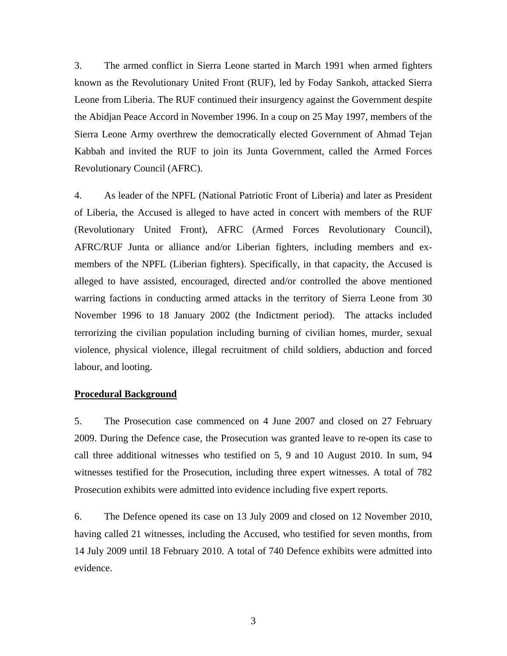3. The armed conflict in Sierra Leone started in March 1991 when armed fighters known as the Revolutionary United Front (RUF), led by Foday Sankoh, attacked Sierra Leone from Liberia. The RUF continued their insurgency against the Government despite the Abidjan Peace Accord in November 1996. In a coup on 25 May 1997, members of the Sierra Leone Army overthrew the democratically elected Government of Ahmad Tejan Kabbah and invited the RUF to join its Junta Government, called the Armed Forces Revolutionary Council (AFRC).

4. As leader of the NPFL (National Patriotic Front of Liberia) and later as President of Liberia, the Accused is alleged to have acted in concert with members of the RUF (Revolutionary United Front), AFRC (Armed Forces Revolutionary Council), AFRC/RUF Junta or alliance and/or Liberian fighters, including members and exmembers of the NPFL (Liberian fighters). Specifically, in that capacity, the Accused is alleged to have assisted, encouraged, directed and/or controlled the above mentioned warring factions in conducting armed attacks in the territory of Sierra Leone from 30 November 1996 to 18 January 2002 (the Indictment period). The attacks included terrorizing the civilian population including burning of civilian homes, murder, sexual violence, physical violence, illegal recruitment of child soldiers, abduction and forced labour, and looting.

#### **Procedural Background**

5. The Prosecution case commenced on 4 June 2007 and closed on 27 February 2009. During the Defence case, the Prosecution was granted leave to re-open its case to call three additional witnesses who testified on 5, 9 and 10 August 2010. In sum, 94 witnesses testified for the Prosecution, including three expert witnesses. A total of 782 Prosecution exhibits were admitted into evidence including five expert reports.

6. The Defence opened its case on 13 July 2009 and closed on 12 November 2010, having called 21 witnesses, including the Accused, who testified for seven months, from 14 July 2009 until 18 February 2010. A total of 740 Defence exhibits were admitted into evidence.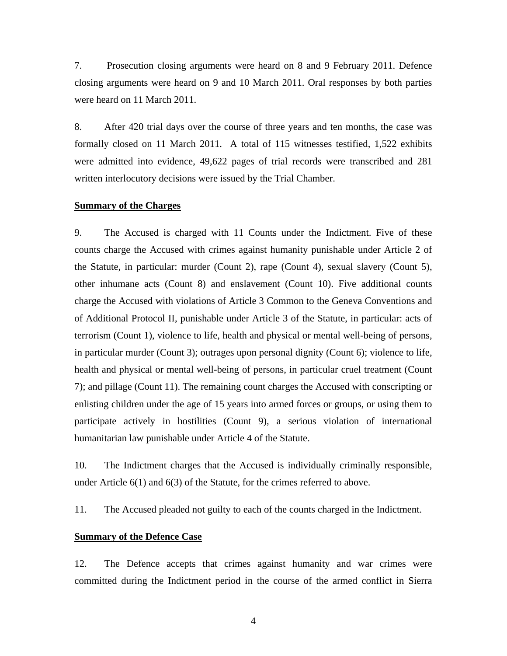7. Prosecution closing arguments were heard on 8 and 9 February 2011. Defence closing arguments were heard on 9 and 10 March 2011. Oral responses by both parties were heard on 11 March 2011.

8. After 420 trial days over the course of three years and ten months, the case was formally closed on 11 March 2011. A total of 115 witnesses testified, 1,522 exhibits were admitted into evidence, 49,622 pages of trial records were transcribed and 281 written interlocutory decisions were issued by the Trial Chamber.

#### **Summary of the Charges**

9. The Accused is charged with 11 Counts under the Indictment. Five of these counts charge the Accused with crimes against humanity punishable under Article 2 of the Statute, in particular: murder (Count 2), rape (Count 4), sexual slavery (Count 5), other inhumane acts (Count 8) and enslavement (Count 10). Five additional counts charge the Accused with violations of Article 3 Common to the Geneva Conventions and of Additional Protocol II, punishable under Article 3 of the Statute, in particular: acts of terrorism (Count 1), violence to life, health and physical or mental well-being of persons, in particular murder (Count 3); outrages upon personal dignity (Count 6); violence to life, health and physical or mental well-being of persons, in particular cruel treatment (Count 7); and pillage (Count 11). The remaining count charges the Accused with conscripting or enlisting children under the age of 15 years into armed forces or groups, or using them to participate actively in hostilities (Count 9), a serious violation of international humanitarian law punishable under Article 4 of the Statute.

10. The Indictment charges that the Accused is individually criminally responsible, under Article 6(1) and 6(3) of the Statute, for the crimes referred to above.

11. The Accused pleaded not guilty to each of the counts charged in the Indictment.

#### **Summary of the Defence Case**

12. The Defence accepts that crimes against humanity and war crimes were committed during the Indictment period in the course of the armed conflict in Sierra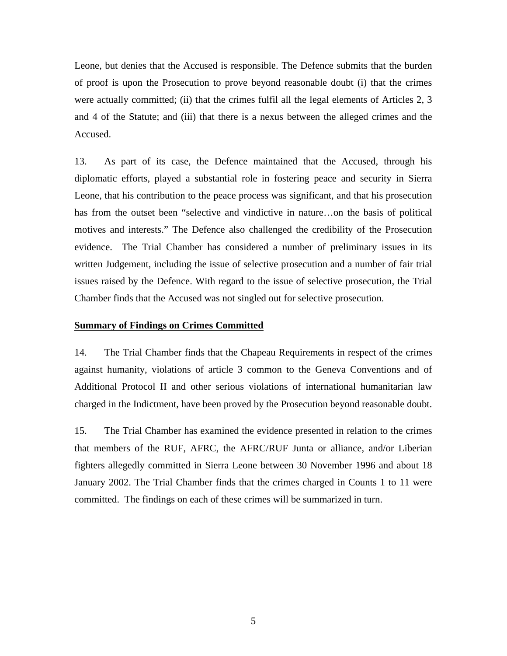Leone, but denies that the Accused is responsible. The Defence submits that the burden of proof is upon the Prosecution to prove beyond reasonable doubt (i) that the crimes were actually committed; (ii) that the crimes fulfil all the legal elements of Articles 2, 3 and 4 of the Statute; and (iii) that there is a nexus between the alleged crimes and the Accused.

13. As part of its case, the Defence maintained that the Accused, through his diplomatic efforts, played a substantial role in fostering peace and security in Sierra Leone, that his contribution to the peace process was significant, and that his prosecution has from the outset been "selective and vindictive in nature…on the basis of political motives and interests." The Defence also challenged the credibility of the Prosecution evidence. The Trial Chamber has considered a number of preliminary issues in its written Judgement, including the issue of selective prosecution and a number of fair trial issues raised by the Defence. With regard to the issue of selective prosecution, the Trial Chamber finds that the Accused was not singled out for selective prosecution.

#### **Summary of Findings on Crimes Committed**

14. The Trial Chamber finds that the Chapeau Requirements in respect of the crimes against humanity, violations of article 3 common to the Geneva Conventions and of Additional Protocol II and other serious violations of international humanitarian law charged in the Indictment, have been proved by the Prosecution beyond reasonable doubt.

15. The Trial Chamber has examined the evidence presented in relation to the crimes that members of the RUF, AFRC, the AFRC/RUF Junta or alliance, and/or Liberian fighters allegedly committed in Sierra Leone between 30 November 1996 and about 18 January 2002. The Trial Chamber finds that the crimes charged in Counts 1 to 11 were committed. The findings on each of these crimes will be summarized in turn.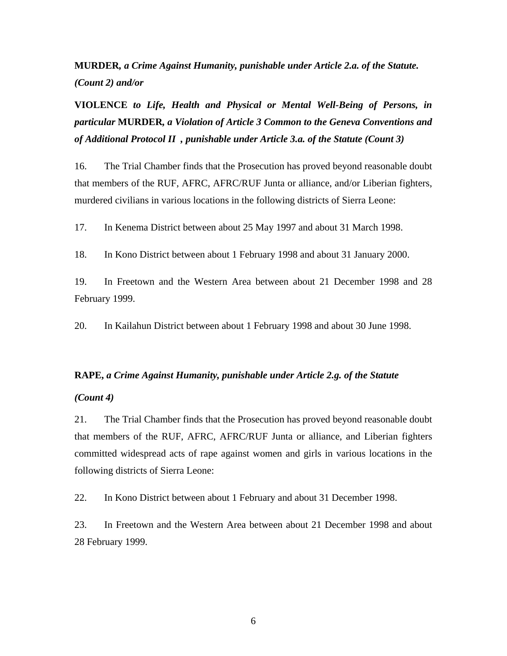**MURDER***, a Crime Against Humanity, punishable under Article 2.a. of the Statute. (Count 2) and/or* 

**VIOLENCE** *to Life, Health and Physical or Mental Well-Being of Persons, in particular* **MURDER***, a Violation of Article 3 Common to the Geneva Conventions and of Additional Protocol II , punishable under Article 3.a. of the Statute (Count 3)* 

16. The Trial Chamber finds that the Prosecution has proved beyond reasonable doubt that members of the RUF, AFRC, AFRC/RUF Junta or alliance, and/or Liberian fighters, murdered civilians in various locations in the following districts of Sierra Leone:

17. In Kenema District between about 25 May 1997 and about 31 March 1998.

18. In Kono District between about 1 February 1998 and about 31 January 2000.

19. In Freetown and the Western Area between about 21 December 1998 and 28 February 1999.

20. In Kailahun District between about 1 February 1998 and about 30 June 1998.

#### **RAPE,** *a Crime Against Humanity, punishable under Article 2.g. of the Statute*

### *(Count 4)*

21. The Trial Chamber finds that the Prosecution has proved beyond reasonable doubt that members of the RUF, AFRC, AFRC/RUF Junta or alliance, and Liberian fighters committed widespread acts of rape against women and girls in various locations in the following districts of Sierra Leone:

22. In Kono District between about 1 February and about 31 December 1998.

23. In Freetown and the Western Area between about 21 December 1998 and about 28 February 1999.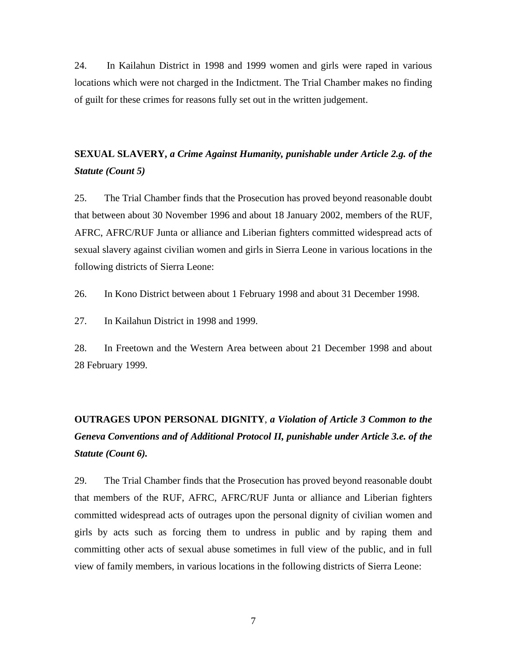24. In Kailahun District in 1998 and 1999 women and girls were raped in various locations which were not charged in the Indictment. The Trial Chamber makes no finding of guilt for these crimes for reasons fully set out in the written judgement.

# **SEXUAL SLAVERY,** *a Crime Against Humanity, punishable under Article 2.g. of the Statute (Count 5)*

25. The Trial Chamber finds that the Prosecution has proved beyond reasonable doubt that between about 30 November 1996 and about 18 January 2002, members of the RUF, AFRC, AFRC/RUF Junta or alliance and Liberian fighters committed widespread acts of sexual slavery against civilian women and girls in Sierra Leone in various locations in the following districts of Sierra Leone:

26. In Kono District between about 1 February 1998 and about 31 December 1998.

27. In Kailahun District in 1998 and 1999.

28. In Freetown and the Western Area between about 21 December 1998 and about 28 February 1999.

# **OUTRAGES UPON PERSONAL DIGNITY**, *a Violation of Article 3 Common to the Geneva Conventions and of Additional Protocol II, punishable under Article 3.e. of the Statute (Count 6).*

29. The Trial Chamber finds that the Prosecution has proved beyond reasonable doubt that members of the RUF, AFRC, AFRC/RUF Junta or alliance and Liberian fighters committed widespread acts of outrages upon the personal dignity of civilian women and girls by acts such as forcing them to undress in public and by raping them and committing other acts of sexual abuse sometimes in full view of the public, and in full view of family members, in various locations in the following districts of Sierra Leone: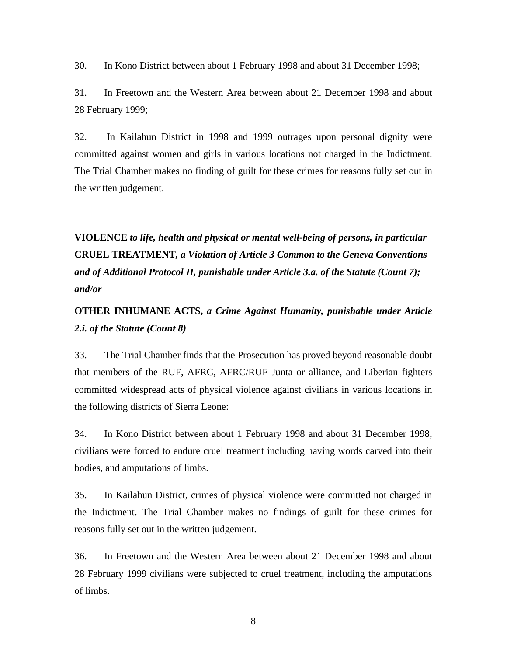30. In Kono District between about 1 February 1998 and about 31 December 1998;

31. In Freetown and the Western Area between about 21 December 1998 and about 28 February 1999;

32. In Kailahun District in 1998 and 1999 outrages upon personal dignity were committed against women and girls in various locations not charged in the Indictment. The Trial Chamber makes no finding of guilt for these crimes for reasons fully set out in the written judgement.

**VIOLENCE** *to life, health and physical or mental well-being of persons, in particular* **CRUEL TREATMENT***, a Violation of Article 3 Common to the Geneva Conventions and of Additional Protocol II, punishable under Article 3.a. of the Statute (Count 7); and/or* 

**OTHER INHUMANE ACTS,** *a Crime Against Humanity, punishable under Article 2.i. of the Statute (Count 8)*

33. The Trial Chamber finds that the Prosecution has proved beyond reasonable doubt that members of the RUF, AFRC, AFRC/RUF Junta or alliance, and Liberian fighters committed widespread acts of physical violence against civilians in various locations in the following districts of Sierra Leone:

34. In Kono District between about 1 February 1998 and about 31 December 1998, civilians were forced to endure cruel treatment including having words carved into their bodies, and amputations of limbs.

35. In Kailahun District, crimes of physical violence were committed not charged in the Indictment. The Trial Chamber makes no findings of guilt for these crimes for reasons fully set out in the written judgement.

36. In Freetown and the Western Area between about 21 December 1998 and about 28 February 1999 civilians were subjected to cruel treatment, including the amputations of limbs.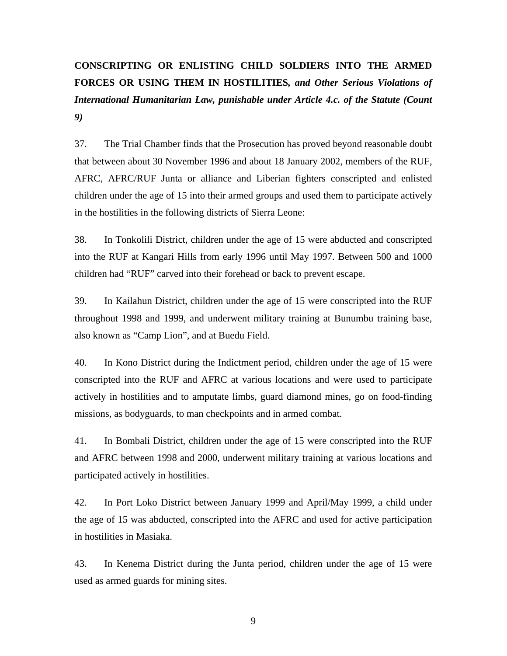**CONSCRIPTING OR ENLISTING CHILD SOLDIERS INTO THE ARMED FORCES OR USING THEM IN HOSTILITIES***, and Other Serious Violations of International Humanitarian Law, punishable under Article 4.c. of the Statute (Count 9)* 

37. The Trial Chamber finds that the Prosecution has proved beyond reasonable doubt that between about 30 November 1996 and about 18 January 2002, members of the RUF, AFRC, AFRC/RUF Junta or alliance and Liberian fighters conscripted and enlisted children under the age of 15 into their armed groups and used them to participate actively in the hostilities in the following districts of Sierra Leone:

38. In Tonkolili District, children under the age of 15 were abducted and conscripted into the RUF at Kangari Hills from early 1996 until May 1997. Between 500 and 1000 children had "RUF" carved into their forehead or back to prevent escape.

39. In Kailahun District, children under the age of 15 were conscripted into the RUF throughout 1998 and 1999, and underwent military training at Bunumbu training base, also known as "Camp Lion", and at Buedu Field.

40. In Kono District during the Indictment period, children under the age of 15 were conscripted into the RUF and AFRC at various locations and were used to participate actively in hostilities and to amputate limbs, guard diamond mines, go on food-finding missions, as bodyguards, to man checkpoints and in armed combat.

41. In Bombali District, children under the age of 15 were conscripted into the RUF and AFRC between 1998 and 2000, underwent military training at various locations and participated actively in hostilities.

42. In Port Loko District between January 1999 and April/May 1999, a child under the age of 15 was abducted, conscripted into the AFRC and used for active participation in hostilities in Masiaka.

43. In Kenema District during the Junta period, children under the age of 15 were used as armed guards for mining sites.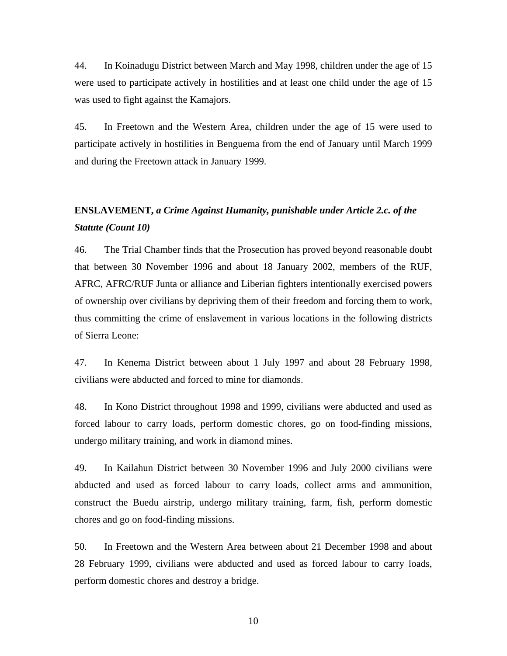44. In Koinadugu District between March and May 1998, children under the age of 15 were used to participate actively in hostilities and at least one child under the age of 15 was used to fight against the Kamajors.

45. In Freetown and the Western Area, children under the age of 15 were used to participate actively in hostilities in Benguema from the end of January until March 1999 and during the Freetown attack in January 1999.

# **ENSLAVEMENT,** *a Crime Against Humanity, punishable under Article 2.c. of the Statute (Count 10)*

46. The Trial Chamber finds that the Prosecution has proved beyond reasonable doubt that between 30 November 1996 and about 18 January 2002, members of the RUF, AFRC, AFRC/RUF Junta or alliance and Liberian fighters intentionally exercised powers of ownership over civilians by depriving them of their freedom and forcing them to work, thus committing the crime of enslavement in various locations in the following districts of Sierra Leone:

47. In Kenema District between about 1 July 1997 and about 28 February 1998, civilians were abducted and forced to mine for diamonds.

48. In Kono District throughout 1998 and 1999, civilians were abducted and used as forced labour to carry loads, perform domestic chores, go on food-finding missions, undergo military training, and work in diamond mines.

49. In Kailahun District between 30 November 1996 and July 2000 civilians were abducted and used as forced labour to carry loads, collect arms and ammunition, construct the Buedu airstrip, undergo military training, farm, fish, perform domestic chores and go on food-finding missions.

50. In Freetown and the Western Area between about 21 December 1998 and about 28 February 1999, civilians were abducted and used as forced labour to carry loads, perform domestic chores and destroy a bridge.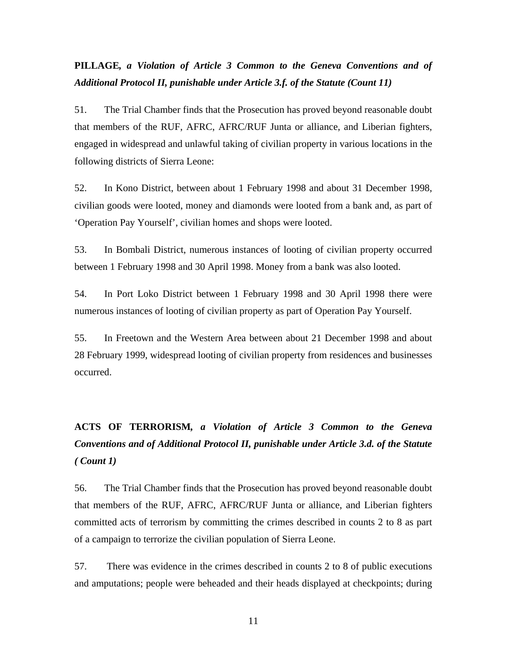# **PILLAGE***, a Violation of Article 3 Common to the Geneva Conventions and of Additional Protocol II, punishable under Article 3.f. of the Statute (Count 11)*

51. The Trial Chamber finds that the Prosecution has proved beyond reasonable doubt that members of the RUF, AFRC, AFRC/RUF Junta or alliance, and Liberian fighters, engaged in widespread and unlawful taking of civilian property in various locations in the following districts of Sierra Leone:

52. In Kono District, between about 1 February 1998 and about 31 December 1998, civilian goods were looted, money and diamonds were looted from a bank and, as part of 'Operation Pay Yourself', civilian homes and shops were looted.

53. In Bombali District, numerous instances of looting of civilian property occurred between 1 February 1998 and 30 April 1998. Money from a bank was also looted.

54. In Port Loko District between 1 February 1998 and 30 April 1998 there were numerous instances of looting of civilian property as part of Operation Pay Yourself.

55. In Freetown and the Western Area between about 21 December 1998 and about 28 February 1999, widespread looting of civilian property from residences and businesses occurred.

# **ACTS OF TERRORISM***, a Violation of Article 3 Common to the Geneva Conventions and of Additional Protocol II, punishable under Article 3.d. of the Statute ( Count 1)*

56. The Trial Chamber finds that the Prosecution has proved beyond reasonable doubt that members of the RUF, AFRC, AFRC/RUF Junta or alliance, and Liberian fighters committed acts of terrorism by committing the crimes described in counts 2 to 8 as part of a campaign to terrorize the civilian population of Sierra Leone.

57. There was evidence in the crimes described in counts 2 to 8 of public executions and amputations; people were beheaded and their heads displayed at checkpoints; during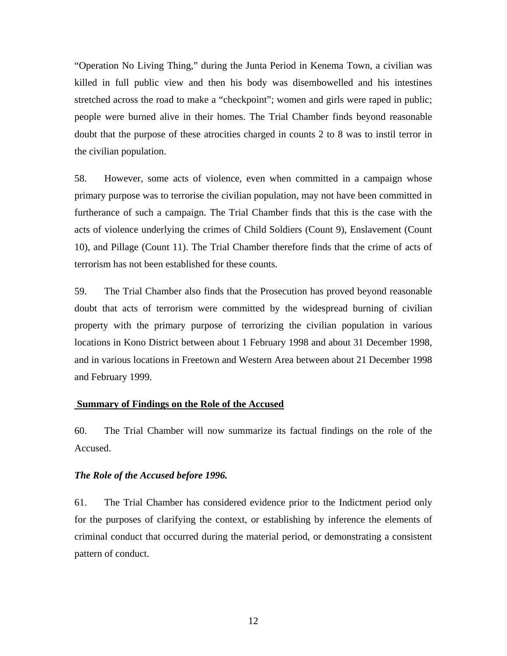"Operation No Living Thing," during the Junta Period in Kenema Town, a civilian was killed in full public view and then his body was disembowelled and his intestines stretched across the road to make a "checkpoint"; women and girls were raped in public; people were burned alive in their homes. The Trial Chamber finds beyond reasonable doubt that the purpose of these atrocities charged in counts 2 to 8 was to instil terror in the civilian population.

58. However, some acts of violence, even when committed in a campaign whose primary purpose was to terrorise the civilian population, may not have been committed in furtherance of such a campaign. The Trial Chamber finds that this is the case with the acts of violence underlying the crimes of Child Soldiers (Count 9), Enslavement (Count 10), and Pillage (Count 11). The Trial Chamber therefore finds that the crime of acts of terrorism has not been established for these counts.

59. The Trial Chamber also finds that the Prosecution has proved beyond reasonable doubt that acts of terrorism were committed by the widespread burning of civilian property with the primary purpose of terrorizing the civilian population in various locations in Kono District between about 1 February 1998 and about 31 December 1998, and in various locations in Freetown and Western Area between about 21 December 1998 and February 1999.

#### **Summary of Findings on the Role of the Accused**

60. The Trial Chamber will now summarize its factual findings on the role of the Accused.

### *The Role of the Accused before 1996.*

61. The Trial Chamber has considered evidence prior to the Indictment period only for the purposes of clarifying the context, or establishing by inference the elements of criminal conduct that occurred during the material period, or demonstrating a consistent pattern of conduct.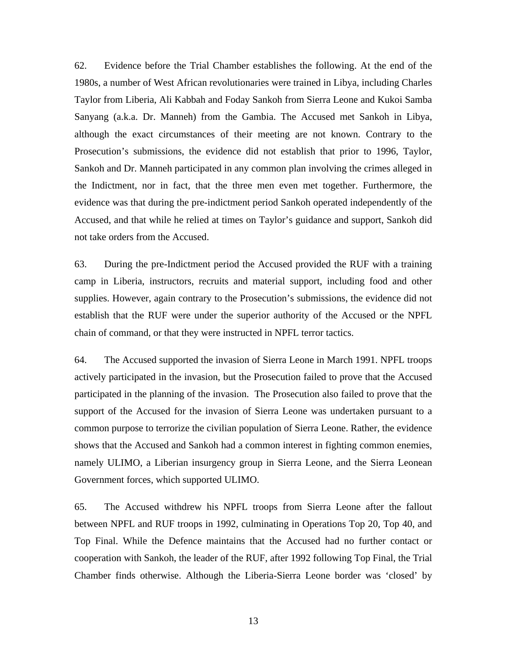62. Evidence before the Trial Chamber establishes the following. At the end of the 1980s, a number of West African revolutionaries were trained in Libya, including Charles Taylor from Liberia, Ali Kabbah and Foday Sankoh from Sierra Leone and Kukoi Samba Sanyang (a.k.a. Dr. Manneh) from the Gambia. The Accused met Sankoh in Libya, although the exact circumstances of their meeting are not known. Contrary to the Prosecution's submissions, the evidence did not establish that prior to 1996, Taylor, Sankoh and Dr. Manneh participated in any common plan involving the crimes alleged in the Indictment, nor in fact, that the three men even met together. Furthermore, the evidence was that during the pre-indictment period Sankoh operated independently of the Accused, and that while he relied at times on Taylor's guidance and support, Sankoh did not take orders from the Accused.

63. During the pre-Indictment period the Accused provided the RUF with a training camp in Liberia, instructors, recruits and material support, including food and other supplies. However, again contrary to the Prosecution's submissions, the evidence did not establish that the RUF were under the superior authority of the Accused or the NPFL chain of command, or that they were instructed in NPFL terror tactics.

64. The Accused supported the invasion of Sierra Leone in March 1991. NPFL troops actively participated in the invasion, but the Prosecution failed to prove that the Accused participated in the planning of the invasion. The Prosecution also failed to prove that the support of the Accused for the invasion of Sierra Leone was undertaken pursuant to a common purpose to terrorize the civilian population of Sierra Leone. Rather, the evidence shows that the Accused and Sankoh had a common interest in fighting common enemies, namely ULIMO, a Liberian insurgency group in Sierra Leone, and the Sierra Leonean Government forces, which supported ULIMO.

65. The Accused withdrew his NPFL troops from Sierra Leone after the fallout between NPFL and RUF troops in 1992, culminating in Operations Top 20, Top 40, and Top Final. While the Defence maintains that the Accused had no further contact or cooperation with Sankoh, the leader of the RUF, after 1992 following Top Final, the Trial Chamber finds otherwise. Although the Liberia-Sierra Leone border was 'closed' by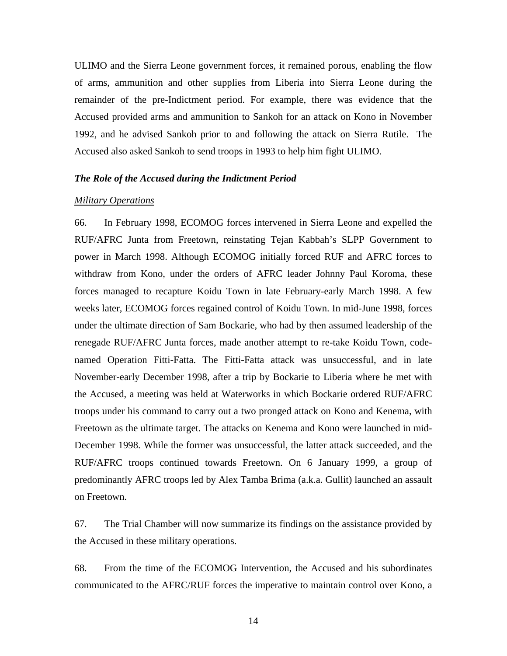ULIMO and the Sierra Leone government forces, it remained porous, enabling the flow of arms, ammunition and other supplies from Liberia into Sierra Leone during the remainder of the pre-Indictment period. For example, there was evidence that the Accused provided arms and ammunition to Sankoh for an attack on Kono in November 1992, and he advised Sankoh prior to and following the attack on Sierra Rutile. The Accused also asked Sankoh to send troops in 1993 to help him fight ULIMO.

#### *The Role of the Accused during the Indictment Period*

#### *Military Operations*

66. In February 1998, ECOMOG forces intervened in Sierra Leone and expelled the RUF/AFRC Junta from Freetown, reinstating Tejan Kabbah's SLPP Government to power in March 1998. Although ECOMOG initially forced RUF and AFRC forces to withdraw from Kono, under the orders of AFRC leader Johnny Paul Koroma, these forces managed to recapture Koidu Town in late February-early March 1998. A few weeks later, ECOMOG forces regained control of Koidu Town. In mid-June 1998, forces under the ultimate direction of Sam Bockarie, who had by then assumed leadership of the renegade RUF/AFRC Junta forces, made another attempt to re-take Koidu Town, codenamed Operation Fitti-Fatta. The Fitti-Fatta attack was unsuccessful, and in late November-early December 1998, after a trip by Bockarie to Liberia where he met with the Accused, a meeting was held at Waterworks in which Bockarie ordered RUF/AFRC troops under his command to carry out a two pronged attack on Kono and Kenema, with Freetown as the ultimate target. The attacks on Kenema and Kono were launched in mid-December 1998. While the former was unsuccessful, the latter attack succeeded, and the RUF/AFRC troops continued towards Freetown. On 6 January 1999, a group of predominantly AFRC troops led by Alex Tamba Brima (a.k.a. Gullit) launched an assault on Freetown.

67. The Trial Chamber will now summarize its findings on the assistance provided by the Accused in these military operations.

68. From the time of the ECOMOG Intervention, the Accused and his subordinates communicated to the AFRC/RUF forces the imperative to maintain control over Kono, a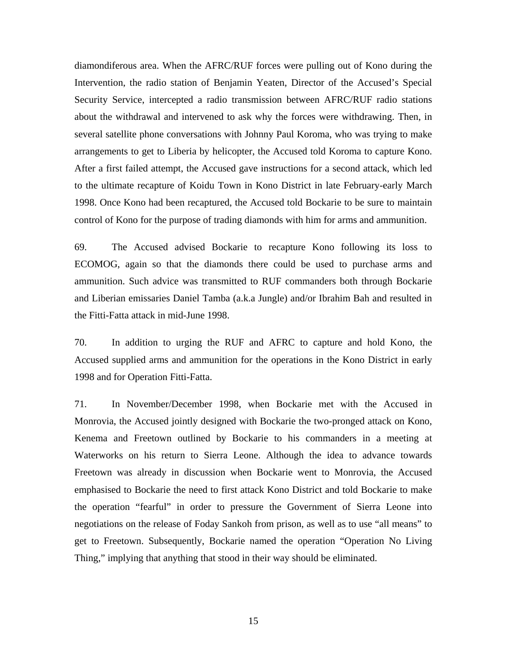diamondiferous area. When the AFRC/RUF forces were pulling out of Kono during the Intervention, the radio station of Benjamin Yeaten, Director of the Accused's Special Security Service, intercepted a radio transmission between AFRC/RUF radio stations about the withdrawal and intervened to ask why the forces were withdrawing. Then, in several satellite phone conversations with Johnny Paul Koroma, who was trying to make arrangements to get to Liberia by helicopter, the Accused told Koroma to capture Kono. After a first failed attempt, the Accused gave instructions for a second attack, which led to the ultimate recapture of Koidu Town in Kono District in late February-early March 1998. Once Kono had been recaptured, the Accused told Bockarie to be sure to maintain control of Kono for the purpose of trading diamonds with him for arms and ammunition.

69. The Accused advised Bockarie to recapture Kono following its loss to ECOMOG, again so that the diamonds there could be used to purchase arms and ammunition. Such advice was transmitted to RUF commanders both through Bockarie and Liberian emissaries Daniel Tamba (a.k.a Jungle) and/or Ibrahim Bah and resulted in the Fitti-Fatta attack in mid-June 1998.

70. In addition to urging the RUF and AFRC to capture and hold Kono, the Accused supplied arms and ammunition for the operations in the Kono District in early 1998 and for Operation Fitti-Fatta.

71. In November/December 1998, when Bockarie met with the Accused in Monrovia, the Accused jointly designed with Bockarie the two-pronged attack on Kono, Kenema and Freetown outlined by Bockarie to his commanders in a meeting at Waterworks on his return to Sierra Leone. Although the idea to advance towards Freetown was already in discussion when Bockarie went to Monrovia, the Accused emphasised to Bockarie the need to first attack Kono District and told Bockarie to make the operation "fearful" in order to pressure the Government of Sierra Leone into negotiations on the release of Foday Sankoh from prison, as well as to use "all means" to get to Freetown. Subsequently, Bockarie named the operation "Operation No Living Thing," implying that anything that stood in their way should be eliminated.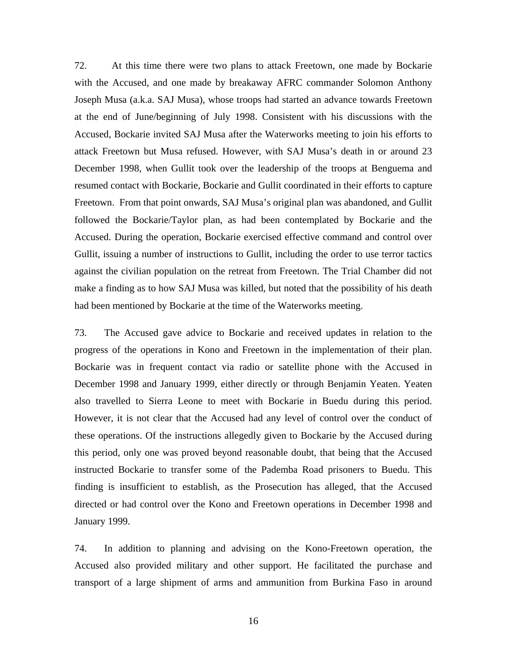72. At this time there were two plans to attack Freetown, one made by Bockarie with the Accused, and one made by breakaway AFRC commander Solomon Anthony Joseph Musa (a.k.a. SAJ Musa), whose troops had started an advance towards Freetown at the end of June/beginning of July 1998. Consistent with his discussions with the Accused, Bockarie invited SAJ Musa after the Waterworks meeting to join his efforts to attack Freetown but Musa refused. However, with SAJ Musa's death in or around 23 December 1998, when Gullit took over the leadership of the troops at Benguema and resumed contact with Bockarie, Bockarie and Gullit coordinated in their efforts to capture Freetown. From that point onwards, SAJ Musa's original plan was abandoned, and Gullit followed the Bockarie/Taylor plan, as had been contemplated by Bockarie and the Accused. During the operation, Bockarie exercised effective command and control over Gullit, issuing a number of instructions to Gullit, including the order to use terror tactics against the civilian population on the retreat from Freetown. The Trial Chamber did not make a finding as to how SAJ Musa was killed, but noted that the possibility of his death had been mentioned by Bockarie at the time of the Waterworks meeting.

73. The Accused gave advice to Bockarie and received updates in relation to the progress of the operations in Kono and Freetown in the implementation of their plan. Bockarie was in frequent contact via radio or satellite phone with the Accused in December 1998 and January 1999, either directly or through Benjamin Yeaten. Yeaten also travelled to Sierra Leone to meet with Bockarie in Buedu during this period. However, it is not clear that the Accused had any level of control over the conduct of these operations. Of the instructions allegedly given to Bockarie by the Accused during this period, only one was proved beyond reasonable doubt, that being that the Accused instructed Bockarie to transfer some of the Pademba Road prisoners to Buedu. This finding is insufficient to establish, as the Prosecution has alleged, that the Accused directed or had control over the Kono and Freetown operations in December 1998 and January 1999.

74. In addition to planning and advising on the Kono-Freetown operation, the Accused also provided military and other support. He facilitated the purchase and transport of a large shipment of arms and ammunition from Burkina Faso in around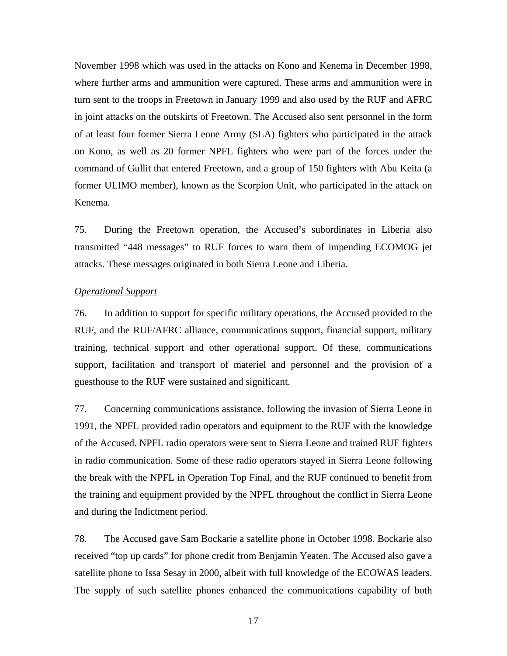November 1998 which was used in the attacks on Kono and Kenema in December 1998, where further arms and ammunition were captured. These arms and ammunition were in turn sent to the troops in Freetown in January 1999 and also used by the RUF and AFRC in joint attacks on the outskirts of Freetown. The Accused also sent personnel in the form of at least four former Sierra Leone Army (SLA) fighters who participated in the attack on Kono, as well as 20 former NPFL fighters who were part of the forces under the command of Gullit that entered Freetown, and a group of 150 fighters with Abu Keita (a former ULIMO member), known as the Scorpion Unit, who participated in the attack on Kenema.

75. During the Freetown operation, the Accused's subordinates in Liberia also transmitted "448 messages" to RUF forces to warn them of impending ECOMOG jet attacks. These messages originated in both Sierra Leone and Liberia.

#### *Operational Support*

76. In addition to support for specific military operations, the Accused provided to the RUF, and the RUF/AFRC alliance, communications support, financial support, military training, technical support and other operational support. Of these, communications support, facilitation and transport of materiel and personnel and the provision of a guesthouse to the RUF were sustained and significant.

77. Concerning communications assistance, following the invasion of Sierra Leone in 1991, the NPFL provided radio operators and equipment to the RUF with the knowledge of the Accused. NPFL radio operators were sent to Sierra Leone and trained RUF fighters in radio communication. Some of these radio operators stayed in Sierra Leone following the break with the NPFL in Operation Top Final, and the RUF continued to benefit from the training and equipment provided by the NPFL throughout the conflict in Sierra Leone and during the Indictment period.

78. The Accused gave Sam Bockarie a satellite phone in October 1998. Bockarie also received "top up cards" for phone credit from Benjamin Yeaten. The Accused also gave a satellite phone to Issa Sesay in 2000, albeit with full knowledge of the ECOWAS leaders. The supply of such satellite phones enhanced the communications capability of both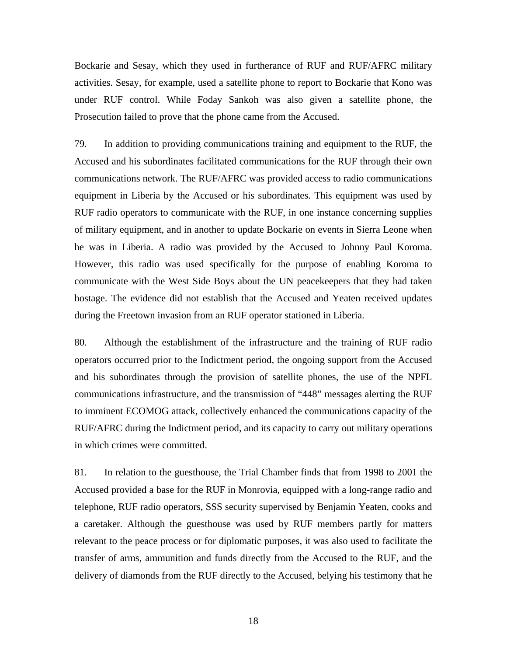Bockarie and Sesay, which they used in furtherance of RUF and RUF/AFRC military activities. Sesay, for example, used a satellite phone to report to Bockarie that Kono was under RUF control. While Foday Sankoh was also given a satellite phone, the Prosecution failed to prove that the phone came from the Accused.

79. In addition to providing communications training and equipment to the RUF, the Accused and his subordinates facilitated communications for the RUF through their own communications network. The RUF/AFRC was provided access to radio communications equipment in Liberia by the Accused or his subordinates. This equipment was used by RUF radio operators to communicate with the RUF, in one instance concerning supplies of military equipment, and in another to update Bockarie on events in Sierra Leone when he was in Liberia. A radio was provided by the Accused to Johnny Paul Koroma. However, this radio was used specifically for the purpose of enabling Koroma to communicate with the West Side Boys about the UN peacekeepers that they had taken hostage. The evidence did not establish that the Accused and Yeaten received updates during the Freetown invasion from an RUF operator stationed in Liberia.

80. Although the establishment of the infrastructure and the training of RUF radio operators occurred prior to the Indictment period, the ongoing support from the Accused and his subordinates through the provision of satellite phones, the use of the NPFL communications infrastructure, and the transmission of "448" messages alerting the RUF to imminent ECOMOG attack, collectively enhanced the communications capacity of the RUF/AFRC during the Indictment period, and its capacity to carry out military operations in which crimes were committed.

81. In relation to the guesthouse, the Trial Chamber finds that from 1998 to 2001 the Accused provided a base for the RUF in Monrovia, equipped with a long-range radio and telephone, RUF radio operators, SSS security supervised by Benjamin Yeaten, cooks and a caretaker. Although the guesthouse was used by RUF members partly for matters relevant to the peace process or for diplomatic purposes, it was also used to facilitate the transfer of arms, ammunition and funds directly from the Accused to the RUF, and the delivery of diamonds from the RUF directly to the Accused, belying his testimony that he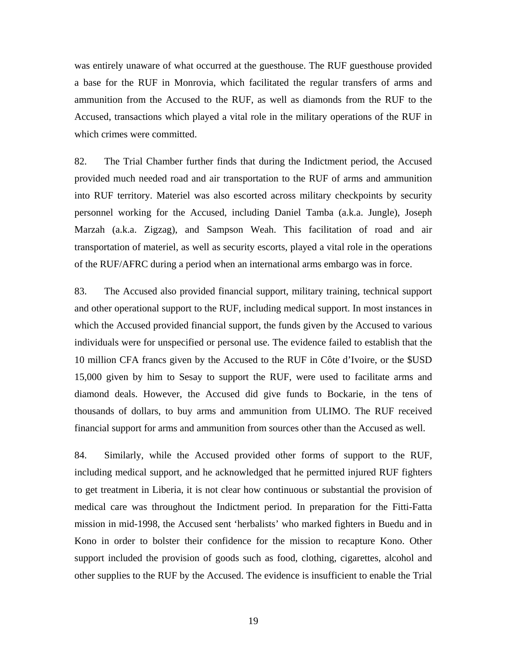was entirely unaware of what occurred at the guesthouse. The RUF guesthouse provided a base for the RUF in Monrovia, which facilitated the regular transfers of arms and ammunition from the Accused to the RUF, as well as diamonds from the RUF to the Accused, transactions which played a vital role in the military operations of the RUF in which crimes were committed.

82. The Trial Chamber further finds that during the Indictment period, the Accused provided much needed road and air transportation to the RUF of arms and ammunition into RUF territory. Materiel was also escorted across military checkpoints by security personnel working for the Accused, including Daniel Tamba (a.k.a. Jungle), Joseph Marzah (a.k.a. Zigzag), and Sampson Weah. This facilitation of road and air transportation of materiel, as well as security escorts, played a vital role in the operations of the RUF/AFRC during a period when an international arms embargo was in force.

83. The Accused also provided financial support, military training, technical support and other operational support to the RUF, including medical support. In most instances in which the Accused provided financial support, the funds given by the Accused to various individuals were for unspecified or personal use. The evidence failed to establish that the 10 million CFA francs given by the Accused to the RUF in Côte d'Ivoire, or the \$USD 15,000 given by him to Sesay to support the RUF, were used to facilitate arms and diamond deals. However, the Accused did give funds to Bockarie, in the tens of thousands of dollars, to buy arms and ammunition from ULIMO. The RUF received financial support for arms and ammunition from sources other than the Accused as well.

84. Similarly, while the Accused provided other forms of support to the RUF, including medical support, and he acknowledged that he permitted injured RUF fighters to get treatment in Liberia, it is not clear how continuous or substantial the provision of medical care was throughout the Indictment period. In preparation for the Fitti-Fatta mission in mid-1998, the Accused sent 'herbalists' who marked fighters in Buedu and in Kono in order to bolster their confidence for the mission to recapture Kono. Other support included the provision of goods such as food, clothing, cigarettes, alcohol and other supplies to the RUF by the Accused. The evidence is insufficient to enable the Trial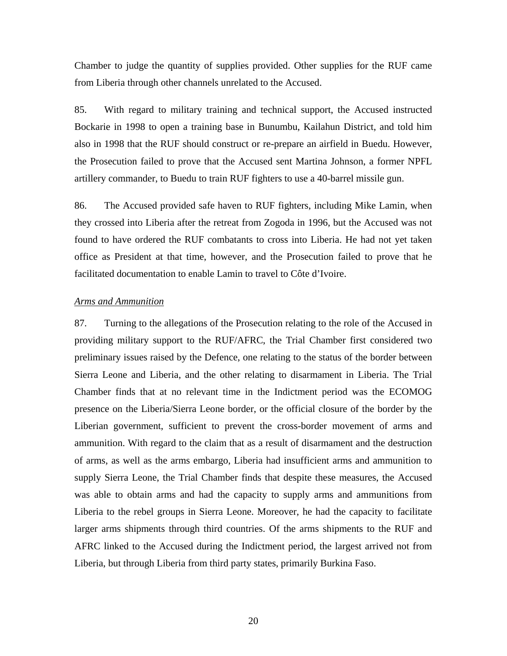Chamber to judge the quantity of supplies provided. Other supplies for the RUF came from Liberia through other channels unrelated to the Accused.

85. With regard to military training and technical support, the Accused instructed Bockarie in 1998 to open a training base in Bunumbu, Kailahun District, and told him also in 1998 that the RUF should construct or re-prepare an airfield in Buedu. However, the Prosecution failed to prove that the Accused sent Martina Johnson, a former NPFL artillery commander, to Buedu to train RUF fighters to use a 40-barrel missile gun.

86. The Accused provided safe haven to RUF fighters, including Mike Lamin, when they crossed into Liberia after the retreat from Zogoda in 1996, but the Accused was not found to have ordered the RUF combatants to cross into Liberia. He had not yet taken office as President at that time, however, and the Prosecution failed to prove that he facilitated documentation to enable Lamin to travel to Côte d'Ivoire.

#### *Arms and Ammunition*

87. Turning to the allegations of the Prosecution relating to the role of the Accused in providing military support to the RUF/AFRC, the Trial Chamber first considered two preliminary issues raised by the Defence, one relating to the status of the border between Sierra Leone and Liberia, and the other relating to disarmament in Liberia. The Trial Chamber finds that at no relevant time in the Indictment period was the ECOMOG presence on the Liberia/Sierra Leone border, or the official closure of the border by the Liberian government, sufficient to prevent the cross-border movement of arms and ammunition. With regard to the claim that as a result of disarmament and the destruction of arms, as well as the arms embargo, Liberia had insufficient arms and ammunition to supply Sierra Leone, the Trial Chamber finds that despite these measures, the Accused was able to obtain arms and had the capacity to supply arms and ammunitions from Liberia to the rebel groups in Sierra Leone. Moreover, he had the capacity to facilitate larger arms shipments through third countries. Of the arms shipments to the RUF and AFRC linked to the Accused during the Indictment period, the largest arrived not from Liberia, but through Liberia from third party states, primarily Burkina Faso.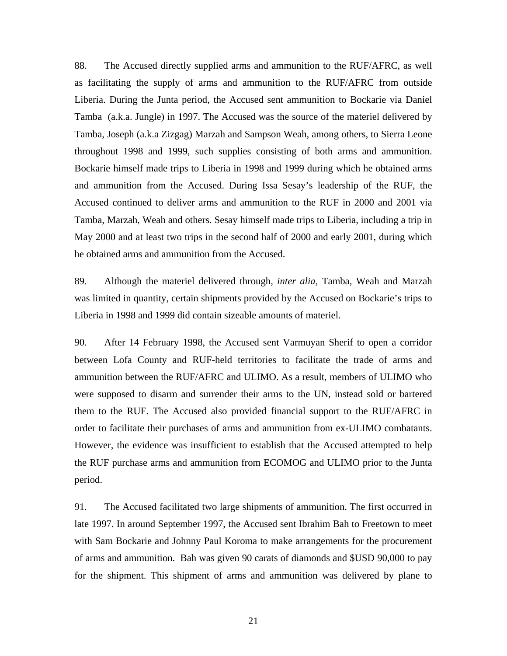88. The Accused directly supplied arms and ammunition to the RUF/AFRC, as well as facilitating the supply of arms and ammunition to the RUF/AFRC from outside Liberia. During the Junta period, the Accused sent ammunition to Bockarie via Daniel Tamba (a.k.a. Jungle) in 1997. The Accused was the source of the materiel delivered by Tamba, Joseph (a.k.a Zizgag) Marzah and Sampson Weah, among others, to Sierra Leone throughout 1998 and 1999, such supplies consisting of both arms and ammunition. Bockarie himself made trips to Liberia in 1998 and 1999 during which he obtained arms and ammunition from the Accused. During Issa Sesay's leadership of the RUF, the Accused continued to deliver arms and ammunition to the RUF in 2000 and 2001 via Tamba, Marzah, Weah and others. Sesay himself made trips to Liberia, including a trip in May 2000 and at least two trips in the second half of 2000 and early 2001, during which he obtained arms and ammunition from the Accused.

89. Although the materiel delivered through, *inter alia,* Tamba, Weah and Marzah was limited in quantity, certain shipments provided by the Accused on Bockarie's trips to Liberia in 1998 and 1999 did contain sizeable amounts of materiel.

90. After 14 February 1998, the Accused sent Varmuyan Sherif to open a corridor between Lofa County and RUF-held territories to facilitate the trade of arms and ammunition between the RUF/AFRC and ULIMO. As a result, members of ULIMO who were supposed to disarm and surrender their arms to the UN, instead sold or bartered them to the RUF. The Accused also provided financial support to the RUF/AFRC in order to facilitate their purchases of arms and ammunition from ex-ULIMO combatants. However, the evidence was insufficient to establish that the Accused attempted to help the RUF purchase arms and ammunition from ECOMOG and ULIMO prior to the Junta period.

91. The Accused facilitated two large shipments of ammunition. The first occurred in late 1997. In around September 1997, the Accused sent Ibrahim Bah to Freetown to meet with Sam Bockarie and Johnny Paul Koroma to make arrangements for the procurement of arms and ammunition. Bah was given 90 carats of diamonds and \$USD 90,000 to pay for the shipment. This shipment of arms and ammunition was delivered by plane to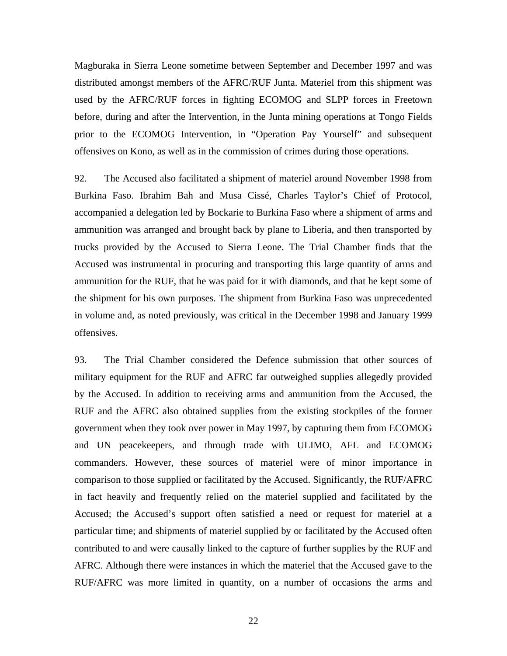Magburaka in Sierra Leone sometime between September and December 1997 and was distributed amongst members of the AFRC/RUF Junta. Materiel from this shipment was used by the AFRC/RUF forces in fighting ECOMOG and SLPP forces in Freetown before, during and after the Intervention, in the Junta mining operations at Tongo Fields prior to the ECOMOG Intervention, in "Operation Pay Yourself" and subsequent offensives on Kono, as well as in the commission of crimes during those operations.

92. The Accused also facilitated a shipment of materiel around November 1998 from Burkina Faso. Ibrahim Bah and Musa Cissé, Charles Taylor's Chief of Protocol, accompanied a delegation led by Bockarie to Burkina Faso where a shipment of arms and ammunition was arranged and brought back by plane to Liberia, and then transported by trucks provided by the Accused to Sierra Leone. The Trial Chamber finds that the Accused was instrumental in procuring and transporting this large quantity of arms and ammunition for the RUF, that he was paid for it with diamonds, and that he kept some of the shipment for his own purposes. The shipment from Burkina Faso was unprecedented in volume and, as noted previously, was critical in the December 1998 and January 1999 offensives.

93. The Trial Chamber considered the Defence submission that other sources of military equipment for the RUF and AFRC far outweighed supplies allegedly provided by the Accused. In addition to receiving arms and ammunition from the Accused, the RUF and the AFRC also obtained supplies from the existing stockpiles of the former government when they took over power in May 1997, by capturing them from ECOMOG and UN peacekeepers, and through trade with ULIMO, AFL and ECOMOG commanders. However, these sources of materiel were of minor importance in comparison to those supplied or facilitated by the Accused. Significantly, the RUF/AFRC in fact heavily and frequently relied on the materiel supplied and facilitated by the Accused; the Accused's support often satisfied a need or request for materiel at a particular time; and shipments of materiel supplied by or facilitated by the Accused often contributed to and were causally linked to the capture of further supplies by the RUF and AFRC. Although there were instances in which the materiel that the Accused gave to the RUF/AFRC was more limited in quantity, on a number of occasions the arms and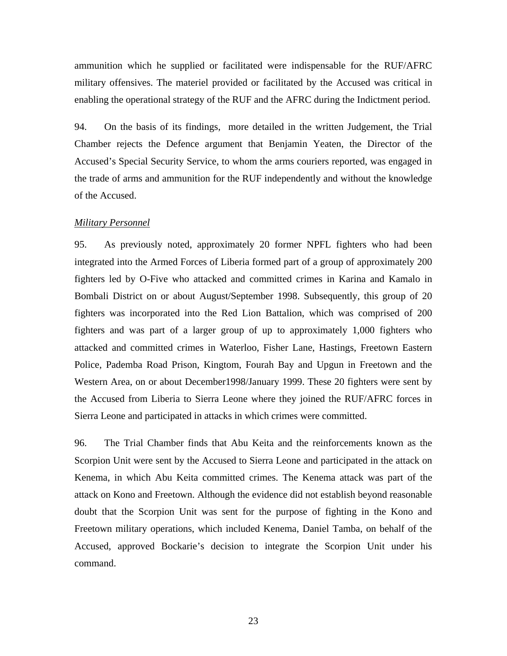ammunition which he supplied or facilitated were indispensable for the RUF/AFRC military offensives. The materiel provided or facilitated by the Accused was critical in enabling the operational strategy of the RUF and the AFRC during the Indictment period.

94. On the basis of its findings, more detailed in the written Judgement, the Trial Chamber rejects the Defence argument that Benjamin Yeaten, the Director of the Accused's Special Security Service, to whom the arms couriers reported, was engaged in the trade of arms and ammunition for the RUF independently and without the knowledge of the Accused.

#### *Military Personnel*

95. As previously noted, approximately 20 former NPFL fighters who had been integrated into the Armed Forces of Liberia formed part of a group of approximately 200 fighters led by O-Five who attacked and committed crimes in Karina and Kamalo in Bombali District on or about August/September 1998. Subsequently, this group of 20 fighters was incorporated into the Red Lion Battalion, which was comprised of 200 fighters and was part of a larger group of up to approximately 1,000 fighters who attacked and committed crimes in Waterloo, Fisher Lane, Hastings, Freetown Eastern Police, Pademba Road Prison, Kingtom, Fourah Bay and Upgun in Freetown and the Western Area, on or about December1998/January 1999. These 20 fighters were sent by the Accused from Liberia to Sierra Leone where they joined the RUF/AFRC forces in Sierra Leone and participated in attacks in which crimes were committed.

96. The Trial Chamber finds that Abu Keita and the reinforcements known as the Scorpion Unit were sent by the Accused to Sierra Leone and participated in the attack on Kenema, in which Abu Keita committed crimes. The Kenema attack was part of the attack on Kono and Freetown. Although the evidence did not establish beyond reasonable doubt that the Scorpion Unit was sent for the purpose of fighting in the Kono and Freetown military operations, which included Kenema, Daniel Tamba, on behalf of the Accused, approved Bockarie's decision to integrate the Scorpion Unit under his command.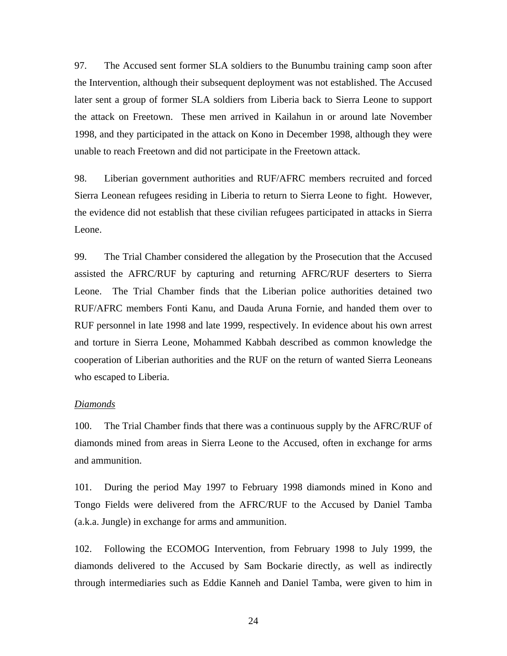97. The Accused sent former SLA soldiers to the Bunumbu training camp soon after the Intervention, although their subsequent deployment was not established. The Accused later sent a group of former SLA soldiers from Liberia back to Sierra Leone to support the attack on Freetown. These men arrived in Kailahun in or around late November 1998, and they participated in the attack on Kono in December 1998, although they were unable to reach Freetown and did not participate in the Freetown attack.

98. Liberian government authorities and RUF/AFRC members recruited and forced Sierra Leonean refugees residing in Liberia to return to Sierra Leone to fight. However, the evidence did not establish that these civilian refugees participated in attacks in Sierra Leone.

99. The Trial Chamber considered the allegation by the Prosecution that the Accused assisted the AFRC/RUF by capturing and returning AFRC/RUF deserters to Sierra Leone. The Trial Chamber finds that the Liberian police authorities detained two RUF/AFRC members Fonti Kanu, and Dauda Aruna Fornie, and handed them over to RUF personnel in late 1998 and late 1999, respectively. In evidence about his own arrest and torture in Sierra Leone, Mohammed Kabbah described as common knowledge the cooperation of Liberian authorities and the RUF on the return of wanted Sierra Leoneans who escaped to Liberia.

#### *Diamonds*

100. The Trial Chamber finds that there was a continuous supply by the AFRC/RUF of diamonds mined from areas in Sierra Leone to the Accused, often in exchange for arms and ammunition.

101. During the period May 1997 to February 1998 diamonds mined in Kono and Tongo Fields were delivered from the AFRC/RUF to the Accused by Daniel Tamba (a.k.a. Jungle) in exchange for arms and ammunition.

102. Following the ECOMOG Intervention, from February 1998 to July 1999, the diamonds delivered to the Accused by Sam Bockarie directly, as well as indirectly through intermediaries such as Eddie Kanneh and Daniel Tamba, were given to him in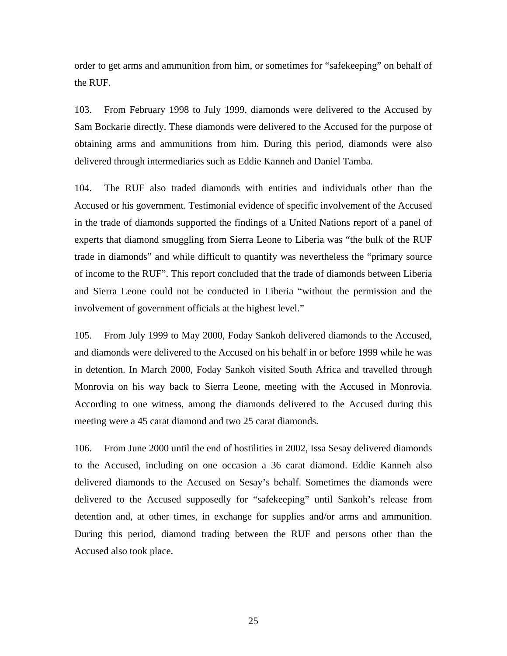order to get arms and ammunition from him, or sometimes for "safekeeping" on behalf of the RUF.

103. From February 1998 to July 1999, diamonds were delivered to the Accused by Sam Bockarie directly. These diamonds were delivered to the Accused for the purpose of obtaining arms and ammunitions from him. During this period, diamonds were also delivered through intermediaries such as Eddie Kanneh and Daniel Tamba.

104. The RUF also traded diamonds with entities and individuals other than the Accused or his government. Testimonial evidence of specific involvement of the Accused in the trade of diamonds supported the findings of a United Nations report of a panel of experts that diamond smuggling from Sierra Leone to Liberia was "the bulk of the RUF trade in diamonds" and while difficult to quantify was nevertheless the "primary source of income to the RUF". This report concluded that the trade of diamonds between Liberia and Sierra Leone could not be conducted in Liberia "without the permission and the involvement of government officials at the highest level."

105. From July 1999 to May 2000, Foday Sankoh delivered diamonds to the Accused, and diamonds were delivered to the Accused on his behalf in or before 1999 while he was in detention. In March 2000, Foday Sankoh visited South Africa and travelled through Monrovia on his way back to Sierra Leone, meeting with the Accused in Monrovia. According to one witness, among the diamonds delivered to the Accused during this meeting were a 45 carat diamond and two 25 carat diamonds.

106. From June 2000 until the end of hostilities in 2002, Issa Sesay delivered diamonds to the Accused, including on one occasion a 36 carat diamond. Eddie Kanneh also delivered diamonds to the Accused on Sesay's behalf. Sometimes the diamonds were delivered to the Accused supposedly for "safekeeping" until Sankoh's release from detention and, at other times, in exchange for supplies and/or arms and ammunition. During this period, diamond trading between the RUF and persons other than the Accused also took place.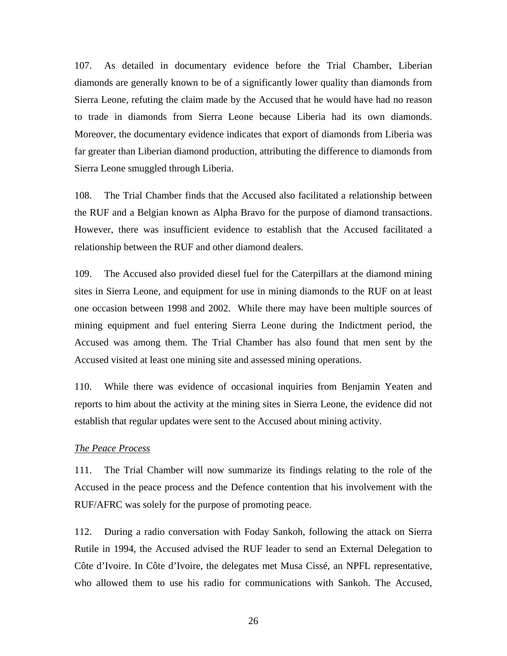107. As detailed in documentary evidence before the Trial Chamber, Liberian diamonds are generally known to be of a significantly lower quality than diamonds from Sierra Leone, refuting the claim made by the Accused that he would have had no reason to trade in diamonds from Sierra Leone because Liberia had its own diamonds. Moreover, the documentary evidence indicates that export of diamonds from Liberia was far greater than Liberian diamond production, attributing the difference to diamonds from Sierra Leone smuggled through Liberia.

108. The Trial Chamber finds that the Accused also facilitated a relationship between the RUF and a Belgian known as Alpha Bravo for the purpose of diamond transactions. However, there was insufficient evidence to establish that the Accused facilitated a relationship between the RUF and other diamond dealers.

109. The Accused also provided diesel fuel for the Caterpillars at the diamond mining sites in Sierra Leone, and equipment for use in mining diamonds to the RUF on at least one occasion between 1998 and 2002. While there may have been multiple sources of mining equipment and fuel entering Sierra Leone during the Indictment period, the Accused was among them. The Trial Chamber has also found that men sent by the Accused visited at least one mining site and assessed mining operations.

110. While there was evidence of occasional inquiries from Benjamin Yeaten and reports to him about the activity at the mining sites in Sierra Leone, the evidence did not establish that regular updates were sent to the Accused about mining activity.

#### *The Peace Process*

111. The Trial Chamber will now summarize its findings relating to the role of the Accused in the peace process and the Defence contention that his involvement with the RUF/AFRC was solely for the purpose of promoting peace.

112. During a radio conversation with Foday Sankoh, following the attack on Sierra Rutile in 1994, the Accused advised the RUF leader to send an External Delegation to Côte d'Ivoire. In Côte d'Ivoire, the delegates met Musa Cissé, an NPFL representative, who allowed them to use his radio for communications with Sankoh. The Accused,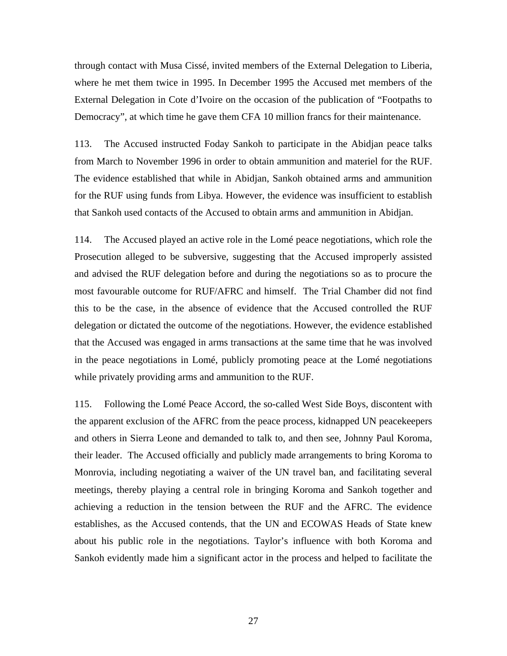through contact with Musa Cissé, invited members of the External Delegation to Liberia, where he met them twice in 1995. In December 1995 the Accused met members of the External Delegation in Cote d'Ivoire on the occasion of the publication of "Footpaths to Democracy", at which time he gave them CFA 10 million francs for their maintenance.

113. The Accused instructed Foday Sankoh to participate in the Abidjan peace talks from March to November 1996 in order to obtain ammunition and materiel for the RUF. The evidence established that while in Abidjan, Sankoh obtained arms and ammunition for the RUF using funds from Libya. However, the evidence was insufficient to establish that Sankoh used contacts of the Accused to obtain arms and ammunition in Abidjan.

114. The Accused played an active role in the Lomé peace negotiations, which role the Prosecution alleged to be subversive, suggesting that the Accused improperly assisted and advised the RUF delegation before and during the negotiations so as to procure the most favourable outcome for RUF/AFRC and himself. The Trial Chamber did not find this to be the case, in the absence of evidence that the Accused controlled the RUF delegation or dictated the outcome of the negotiations. However, the evidence established that the Accused was engaged in arms transactions at the same time that he was involved in the peace negotiations in Lomé, publicly promoting peace at the Lomé negotiations while privately providing arms and ammunition to the RUF.

115. Following the Lomé Peace Accord, the so-called West Side Boys, discontent with the apparent exclusion of the AFRC from the peace process, kidnapped UN peacekeepers and others in Sierra Leone and demanded to talk to, and then see, Johnny Paul Koroma, their leader. The Accused officially and publicly made arrangements to bring Koroma to Monrovia, including negotiating a waiver of the UN travel ban, and facilitating several meetings, thereby playing a central role in bringing Koroma and Sankoh together and achieving a reduction in the tension between the RUF and the AFRC. The evidence establishes, as the Accused contends, that the UN and ECOWAS Heads of State knew about his public role in the negotiations. Taylor's influence with both Koroma and Sankoh evidently made him a significant actor in the process and helped to facilitate the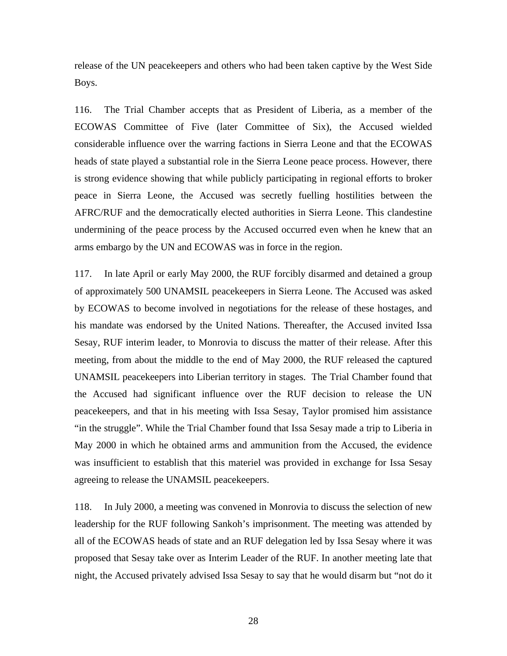release of the UN peacekeepers and others who had been taken captive by the West Side Boys.

116. The Trial Chamber accepts that as President of Liberia, as a member of the ECOWAS Committee of Five (later Committee of Six), the Accused wielded considerable influence over the warring factions in Sierra Leone and that the ECOWAS heads of state played a substantial role in the Sierra Leone peace process. However, there is strong evidence showing that while publicly participating in regional efforts to broker peace in Sierra Leone, the Accused was secretly fuelling hostilities between the AFRC/RUF and the democratically elected authorities in Sierra Leone. This clandestine undermining of the peace process by the Accused occurred even when he knew that an arms embargo by the UN and ECOWAS was in force in the region.

117. In late April or early May 2000, the RUF forcibly disarmed and detained a group of approximately 500 UNAMSIL peacekeepers in Sierra Leone. The Accused was asked by ECOWAS to become involved in negotiations for the release of these hostages, and his mandate was endorsed by the United Nations. Thereafter, the Accused invited Issa Sesay, RUF interim leader, to Monrovia to discuss the matter of their release. After this meeting, from about the middle to the end of May 2000, the RUF released the captured UNAMSIL peacekeepers into Liberian territory in stages. The Trial Chamber found that the Accused had significant influence over the RUF decision to release the UN peacekeepers, and that in his meeting with Issa Sesay, Taylor promised him assistance "in the struggle". While the Trial Chamber found that Issa Sesay made a trip to Liberia in May 2000 in which he obtained arms and ammunition from the Accused, the evidence was insufficient to establish that this materiel was provided in exchange for Issa Sesay agreeing to release the UNAMSIL peacekeepers.

118. In July 2000, a meeting was convened in Monrovia to discuss the selection of new leadership for the RUF following Sankoh's imprisonment. The meeting was attended by all of the ECOWAS heads of state and an RUF delegation led by Issa Sesay where it was proposed that Sesay take over as Interim Leader of the RUF. In another meeting late that night, the Accused privately advised Issa Sesay to say that he would disarm but "not do it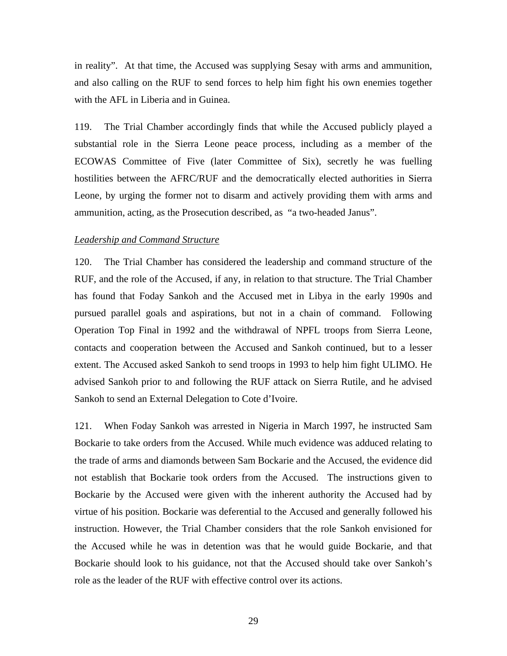in reality". At that time, the Accused was supplying Sesay with arms and ammunition, and also calling on the RUF to send forces to help him fight his own enemies together with the AFL in Liberia and in Guinea.

119. The Trial Chamber accordingly finds that while the Accused publicly played a substantial role in the Sierra Leone peace process, including as a member of the ECOWAS Committee of Five (later Committee of Six), secretly he was fuelling hostilities between the AFRC/RUF and the democratically elected authorities in Sierra Leone, by urging the former not to disarm and actively providing them with arms and ammunition, acting, as the Prosecution described, as "a two-headed Janus".

#### *Leadership and Command Structure*

120. The Trial Chamber has considered the leadership and command structure of the RUF, and the role of the Accused, if any, in relation to that structure. The Trial Chamber has found that Foday Sankoh and the Accused met in Libya in the early 1990s and pursued parallel goals and aspirations, but not in a chain of command. Following Operation Top Final in 1992 and the withdrawal of NPFL troops from Sierra Leone, contacts and cooperation between the Accused and Sankoh continued, but to a lesser extent. The Accused asked Sankoh to send troops in 1993 to help him fight ULIMO. He advised Sankoh prior to and following the RUF attack on Sierra Rutile, and he advised Sankoh to send an External Delegation to Cote d'Ivoire.

121. When Foday Sankoh was arrested in Nigeria in March 1997, he instructed Sam Bockarie to take orders from the Accused. While much evidence was adduced relating to the trade of arms and diamonds between Sam Bockarie and the Accused, the evidence did not establish that Bockarie took orders from the Accused. The instructions given to Bockarie by the Accused were given with the inherent authority the Accused had by virtue of his position. Bockarie was deferential to the Accused and generally followed his instruction. However, the Trial Chamber considers that the role Sankoh envisioned for the Accused while he was in detention was that he would guide Bockarie, and that Bockarie should look to his guidance, not that the Accused should take over Sankoh's role as the leader of the RUF with effective control over its actions.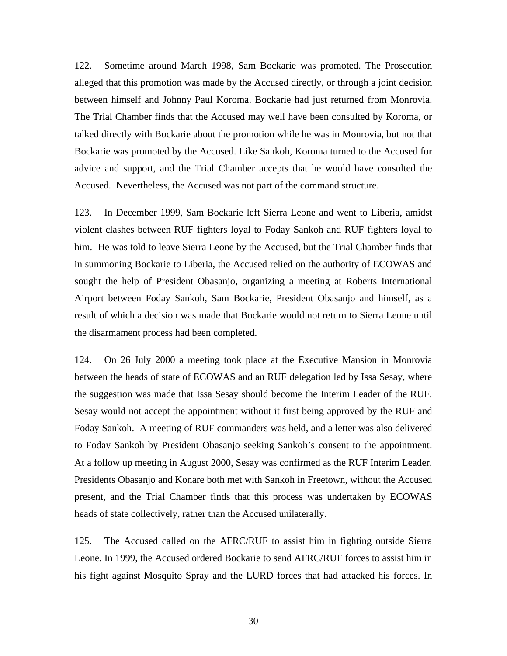122. Sometime around March 1998, Sam Bockarie was promoted. The Prosecution alleged that this promotion was made by the Accused directly, or through a joint decision between himself and Johnny Paul Koroma. Bockarie had just returned from Monrovia. The Trial Chamber finds that the Accused may well have been consulted by Koroma, or talked directly with Bockarie about the promotion while he was in Monrovia, but not that Bockarie was promoted by the Accused. Like Sankoh, Koroma turned to the Accused for advice and support, and the Trial Chamber accepts that he would have consulted the Accused. Nevertheless, the Accused was not part of the command structure.

123. In December 1999, Sam Bockarie left Sierra Leone and went to Liberia, amidst violent clashes between RUF fighters loyal to Foday Sankoh and RUF fighters loyal to him. He was told to leave Sierra Leone by the Accused, but the Trial Chamber finds that in summoning Bockarie to Liberia, the Accused relied on the authority of ECOWAS and sought the help of President Obasanjo, organizing a meeting at Roberts International Airport between Foday Sankoh, Sam Bockarie, President Obasanjo and himself, as a result of which a decision was made that Bockarie would not return to Sierra Leone until the disarmament process had been completed.

124. On 26 July 2000 a meeting took place at the Executive Mansion in Monrovia between the heads of state of ECOWAS and an RUF delegation led by Issa Sesay, where the suggestion was made that Issa Sesay should become the Interim Leader of the RUF. Sesay would not accept the appointment without it first being approved by the RUF and Foday Sankoh. A meeting of RUF commanders was held, and a letter was also delivered to Foday Sankoh by President Obasanjo seeking Sankoh's consent to the appointment. At a follow up meeting in August 2000, Sesay was confirmed as the RUF Interim Leader. Presidents Obasanjo and Konare both met with Sankoh in Freetown, without the Accused present, and the Trial Chamber finds that this process was undertaken by ECOWAS heads of state collectively, rather than the Accused unilaterally.

125. The Accused called on the AFRC/RUF to assist him in fighting outside Sierra Leone. In 1999, the Accused ordered Bockarie to send AFRC/RUF forces to assist him in his fight against Mosquito Spray and the LURD forces that had attacked his forces. In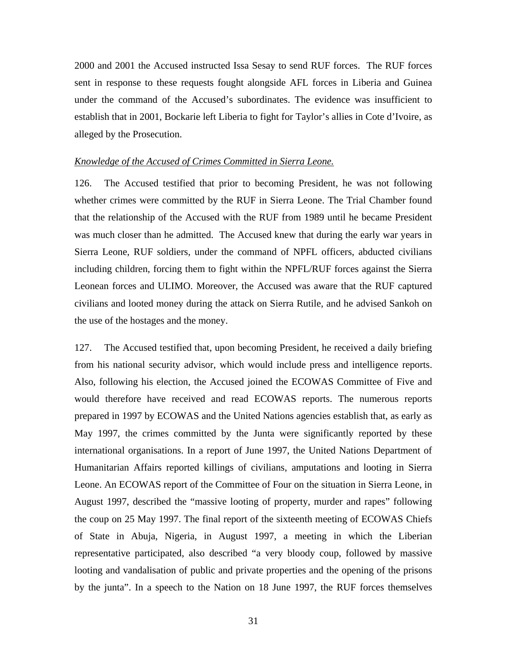2000 and 2001 the Accused instructed Issa Sesay to send RUF forces. The RUF forces sent in response to these requests fought alongside AFL forces in Liberia and Guinea under the command of the Accused's subordinates. The evidence was insufficient to establish that in 2001, Bockarie left Liberia to fight for Taylor's allies in Cote d'Ivoire, as alleged by the Prosecution.

### *Knowledge of the Accused of Crimes Committed in Sierra Leone.*

126. The Accused testified that prior to becoming President, he was not following whether crimes were committed by the RUF in Sierra Leone. The Trial Chamber found that the relationship of the Accused with the RUF from 1989 until he became President was much closer than he admitted. The Accused knew that during the early war years in Sierra Leone, RUF soldiers, under the command of NPFL officers, abducted civilians including children, forcing them to fight within the NPFL/RUF forces against the Sierra Leonean forces and ULIMO. Moreover, the Accused was aware that the RUF captured civilians and looted money during the attack on Sierra Rutile, and he advised Sankoh on the use of the hostages and the money.

127. The Accused testified that, upon becoming President, he received a daily briefing from his national security advisor, which would include press and intelligence reports. Also, following his election, the Accused joined the ECOWAS Committee of Five and would therefore have received and read ECOWAS reports. The numerous reports prepared in 1997 by ECOWAS and the United Nations agencies establish that, as early as May 1997, the crimes committed by the Junta were significantly reported by these international organisations. In a report of June 1997, the United Nations Department of Humanitarian Affairs reported killings of civilians, amputations and looting in Sierra Leone. An ECOWAS report of the Committee of Four on the situation in Sierra Leone, in August 1997, described the "massive looting of property, murder and rapes" following the coup on 25 May 1997. The final report of the sixteenth meeting of ECOWAS Chiefs of State in Abuja, Nigeria, in August 1997, a meeting in which the Liberian representative participated, also described "a very bloody coup, followed by massive looting and vandalisation of public and private properties and the opening of the prisons by the junta". In a speech to the Nation on 18 June 1997, the RUF forces themselves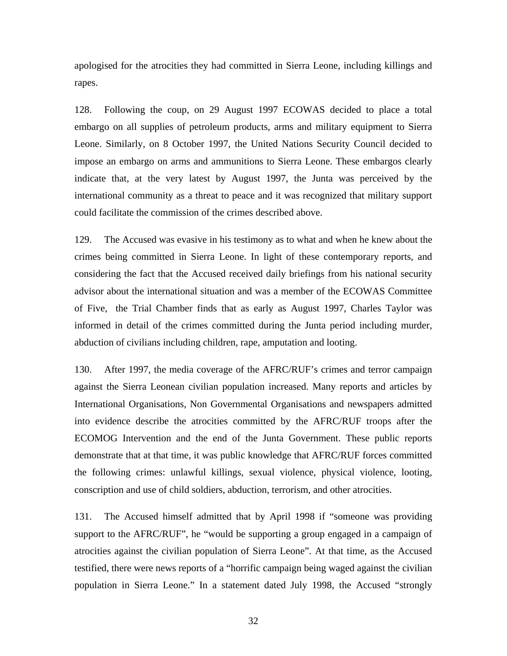apologised for the atrocities they had committed in Sierra Leone, including killings and rapes.

128. Following the coup, on 29 August 1997 ECOWAS decided to place a total embargo on all supplies of petroleum products, arms and military equipment to Sierra Leone. Similarly, on 8 October 1997, the United Nations Security Council decided to impose an embargo on arms and ammunitions to Sierra Leone. These embargos clearly indicate that, at the very latest by August 1997, the Junta was perceived by the international community as a threat to peace and it was recognized that military support could facilitate the commission of the crimes described above.

129. The Accused was evasive in his testimony as to what and when he knew about the crimes being committed in Sierra Leone. In light of these contemporary reports, and considering the fact that the Accused received daily briefings from his national security advisor about the international situation and was a member of the ECOWAS Committee of Five, the Trial Chamber finds that as early as August 1997, Charles Taylor was informed in detail of the crimes committed during the Junta period including murder, abduction of civilians including children, rape, amputation and looting.

130. After 1997, the media coverage of the AFRC/RUF's crimes and terror campaign against the Sierra Leonean civilian population increased. Many reports and articles by International Organisations, Non Governmental Organisations and newspapers admitted into evidence describe the atrocities committed by the AFRC/RUF troops after the ECOMOG Intervention and the end of the Junta Government. These public reports demonstrate that at that time, it was public knowledge that AFRC/RUF forces committed the following crimes: unlawful killings, sexual violence, physical violence, looting, conscription and use of child soldiers, abduction, terrorism, and other atrocities.

131. The Accused himself admitted that by April 1998 if "someone was providing support to the AFRC/RUF", he "would be supporting a group engaged in a campaign of atrocities against the civilian population of Sierra Leone". At that time, as the Accused testified, there were news reports of a "horrific campaign being waged against the civilian population in Sierra Leone." In a statement dated July 1998, the Accused "strongly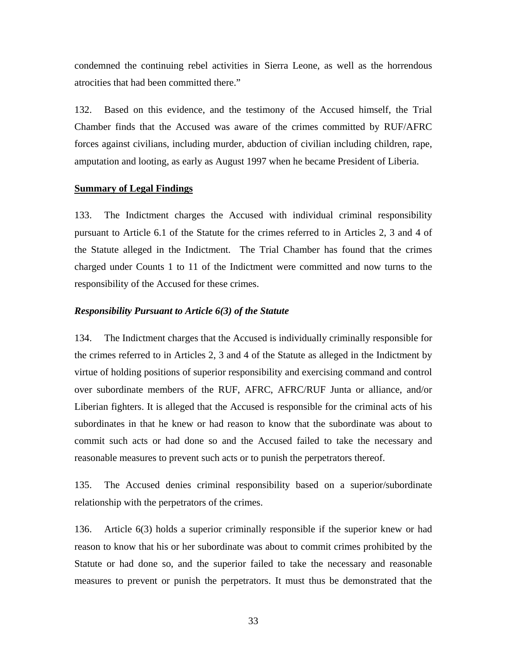condemned the continuing rebel activities in Sierra Leone, as well as the horrendous atrocities that had been committed there."

132. Based on this evidence, and the testimony of the Accused himself, the Trial Chamber finds that the Accused was aware of the crimes committed by RUF/AFRC forces against civilians, including murder, abduction of civilian including children, rape, amputation and looting, as early as August 1997 when he became President of Liberia.

#### **Summary of Legal Findings**

133. The Indictment charges the Accused with individual criminal responsibility pursuant to Article 6.1 of the Statute for the crimes referred to in Articles 2, 3 and 4 of the Statute alleged in the Indictment. The Trial Chamber has found that the crimes charged under Counts 1 to 11 of the Indictment were committed and now turns to the responsibility of the Accused for these crimes.

#### *Responsibility Pursuant to Article 6(3) of the Statute*

134. The Indictment charges that the Accused is individually criminally responsible for the crimes referred to in Articles 2, 3 and 4 of the Statute as alleged in the Indictment by virtue of holding positions of superior responsibility and exercising command and control over subordinate members of the RUF, AFRC, AFRC/RUF Junta or alliance, and/or Liberian fighters. It is alleged that the Accused is responsible for the criminal acts of his subordinates in that he knew or had reason to know that the subordinate was about to commit such acts or had done so and the Accused failed to take the necessary and reasonable measures to prevent such acts or to punish the perpetrators thereof.

135. The Accused denies criminal responsibility based on a superior/subordinate relationship with the perpetrators of the crimes.

136. Article 6(3) holds a superior criminally responsible if the superior knew or had reason to know that his or her subordinate was about to commit crimes prohibited by the Statute or had done so, and the superior failed to take the necessary and reasonable measures to prevent or punish the perpetrators. It must thus be demonstrated that the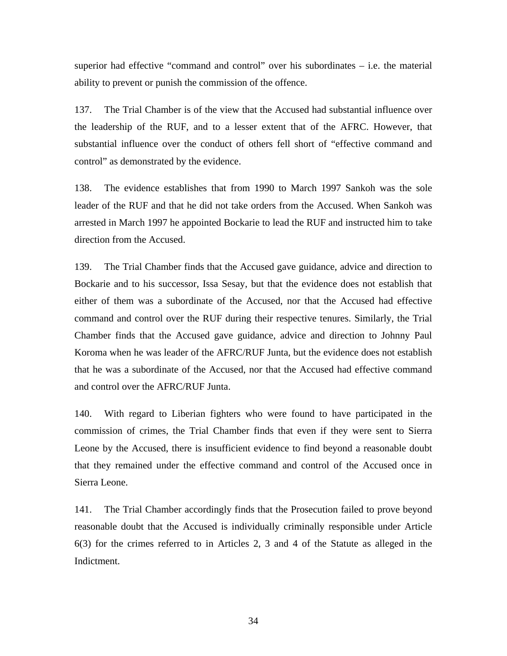superior had effective "command and control" over his subordinates – i.e. the material ability to prevent or punish the commission of the offence.

137. The Trial Chamber is of the view that the Accused had substantial influence over the leadership of the RUF, and to a lesser extent that of the AFRC. However, that substantial influence over the conduct of others fell short of "effective command and control" as demonstrated by the evidence.

138. The evidence establishes that from 1990 to March 1997 Sankoh was the sole leader of the RUF and that he did not take orders from the Accused. When Sankoh was arrested in March 1997 he appointed Bockarie to lead the RUF and instructed him to take direction from the Accused.

139. The Trial Chamber finds that the Accused gave guidance, advice and direction to Bockarie and to his successor, Issa Sesay, but that the evidence does not establish that either of them was a subordinate of the Accused, nor that the Accused had effective command and control over the RUF during their respective tenures. Similarly, the Trial Chamber finds that the Accused gave guidance, advice and direction to Johnny Paul Koroma when he was leader of the AFRC/RUF Junta, but the evidence does not establish that he was a subordinate of the Accused, nor that the Accused had effective command and control over the AFRC/RUF Junta.

140. With regard to Liberian fighters who were found to have participated in the commission of crimes, the Trial Chamber finds that even if they were sent to Sierra Leone by the Accused, there is insufficient evidence to find beyond a reasonable doubt that they remained under the effective command and control of the Accused once in Sierra Leone.

141. The Trial Chamber accordingly finds that the Prosecution failed to prove beyond reasonable doubt that the Accused is individually criminally responsible under Article 6(3) for the crimes referred to in Articles 2, 3 and 4 of the Statute as alleged in the Indictment.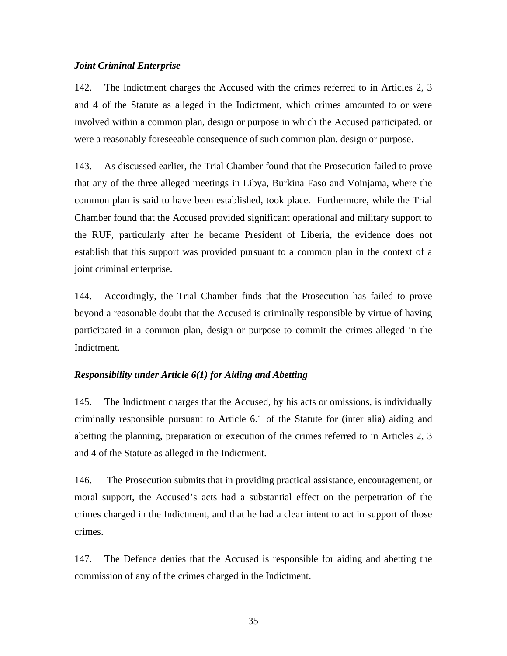#### *Joint Criminal Enterprise*

142. The Indictment charges the Accused with the crimes referred to in Articles 2, 3 and 4 of the Statute as alleged in the Indictment, which crimes amounted to or were involved within a common plan, design or purpose in which the Accused participated, or were a reasonably foreseeable consequence of such common plan, design or purpose.

143. As discussed earlier, the Trial Chamber found that the Prosecution failed to prove that any of the three alleged meetings in Libya, Burkina Faso and Voinjama, where the common plan is said to have been established, took place. Furthermore, while the Trial Chamber found that the Accused provided significant operational and military support to the RUF, particularly after he became President of Liberia, the evidence does not establish that this support was provided pursuant to a common plan in the context of a joint criminal enterprise.

144. Accordingly, the Trial Chamber finds that the Prosecution has failed to prove beyond a reasonable doubt that the Accused is criminally responsible by virtue of having participated in a common plan, design or purpose to commit the crimes alleged in the Indictment.

### *Responsibility under Article 6(1) for Aiding and Abetting*

145. The Indictment charges that the Accused, by his acts or omissions, is individually criminally responsible pursuant to Article 6.1 of the Statute for (inter alia) aiding and abetting the planning, preparation or execution of the crimes referred to in Articles 2, 3 and 4 of the Statute as alleged in the Indictment.

146. The Prosecution submits that in providing practical assistance, encouragement, or moral support, the Accused's acts had a substantial effect on the perpetration of the crimes charged in the Indictment, and that he had a clear intent to act in support of those crimes.

147. The Defence denies that the Accused is responsible for aiding and abetting the commission of any of the crimes charged in the Indictment.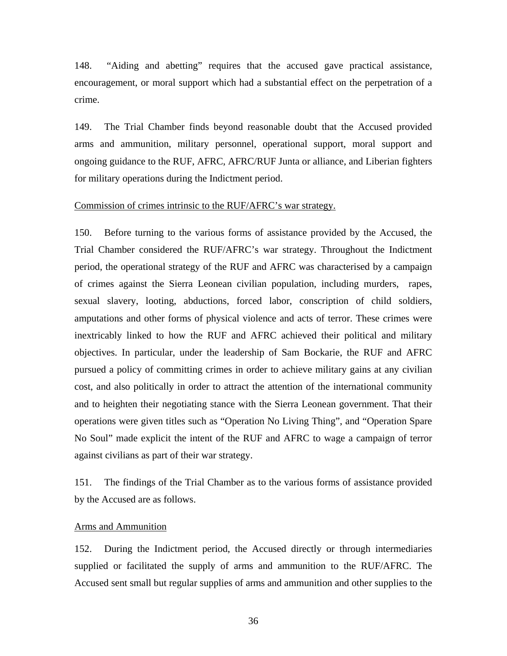148. "Aiding and abetting" requires that the accused gave practical assistance, encouragement, or moral support which had a substantial effect on the perpetration of a crime.

149. The Trial Chamber finds beyond reasonable doubt that the Accused provided arms and ammunition, military personnel, operational support, moral support and ongoing guidance to the RUF, AFRC, AFRC/RUF Junta or alliance, and Liberian fighters for military operations during the Indictment period.

#### Commission of crimes intrinsic to the RUF/AFRC's war strategy.

150. Before turning to the various forms of assistance provided by the Accused, the Trial Chamber considered the RUF/AFRC's war strategy. Throughout the Indictment period, the operational strategy of the RUF and AFRC was characterised by a campaign of crimes against the Sierra Leonean civilian population, including murders, rapes, sexual slavery, looting, abductions, forced labor, conscription of child soldiers, amputations and other forms of physical violence and acts of terror. These crimes were inextricably linked to how the RUF and AFRC achieved their political and military objectives. In particular, under the leadership of Sam Bockarie, the RUF and AFRC pursued a policy of committing crimes in order to achieve military gains at any civilian cost, and also politically in order to attract the attention of the international community and to heighten their negotiating stance with the Sierra Leonean government. That their operations were given titles such as "Operation No Living Thing", and "Operation Spare No Soul" made explicit the intent of the RUF and AFRC to wage a campaign of terror against civilians as part of their war strategy.

151. The findings of the Trial Chamber as to the various forms of assistance provided by the Accused are as follows.

#### Arms and Ammunition

152. During the Indictment period, the Accused directly or through intermediaries supplied or facilitated the supply of arms and ammunition to the RUF/AFRC. The Accused sent small but regular supplies of arms and ammunition and other supplies to the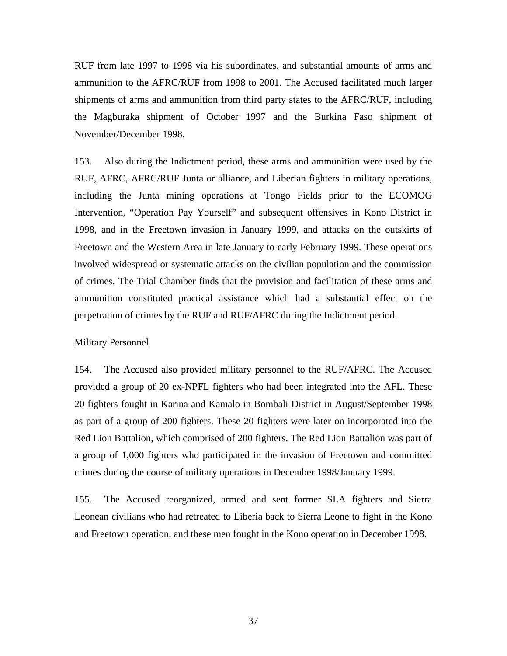RUF from late 1997 to 1998 via his subordinates, and substantial amounts of arms and ammunition to the AFRC/RUF from 1998 to 2001. The Accused facilitated much larger shipments of arms and ammunition from third party states to the AFRC/RUF, including the Magburaka shipment of October 1997 and the Burkina Faso shipment of November/December 1998.

153. Also during the Indictment period, these arms and ammunition were used by the RUF, AFRC, AFRC/RUF Junta or alliance, and Liberian fighters in military operations, including the Junta mining operations at Tongo Fields prior to the ECOMOG Intervention, "Operation Pay Yourself" and subsequent offensives in Kono District in 1998, and in the Freetown invasion in January 1999, and attacks on the outskirts of Freetown and the Western Area in late January to early February 1999. These operations involved widespread or systematic attacks on the civilian population and the commission of crimes. The Trial Chamber finds that the provision and facilitation of these arms and ammunition constituted practical assistance which had a substantial effect on the perpetration of crimes by the RUF and RUF/AFRC during the Indictment period.

#### **Military Personnel**

154. The Accused also provided military personnel to the RUF/AFRC. The Accused provided a group of 20 ex-NPFL fighters who had been integrated into the AFL. These 20 fighters fought in Karina and Kamalo in Bombali District in August/September 1998 as part of a group of 200 fighters. These 20 fighters were later on incorporated into the Red Lion Battalion, which comprised of 200 fighters. The Red Lion Battalion was part of a group of 1,000 fighters who participated in the invasion of Freetown and committed crimes during the course of military operations in December 1998/January 1999.

155. The Accused reorganized, armed and sent former SLA fighters and Sierra Leonean civilians who had retreated to Liberia back to Sierra Leone to fight in the Kono and Freetown operation, and these men fought in the Kono operation in December 1998.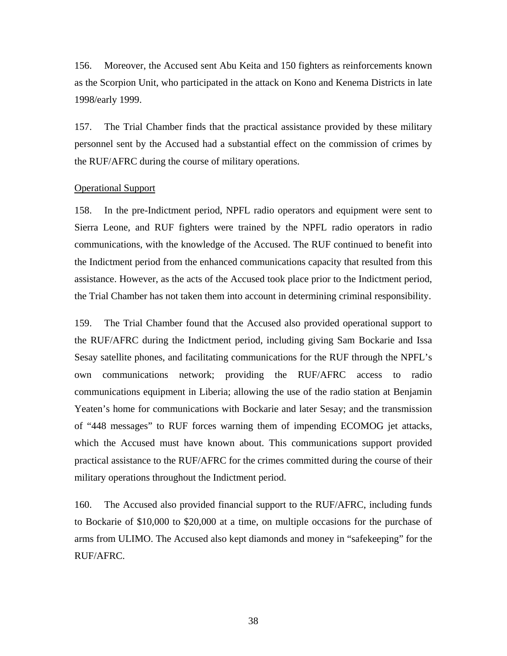156. Moreover, the Accused sent Abu Keita and 150 fighters as reinforcements known as the Scorpion Unit, who participated in the attack on Kono and Kenema Districts in late 1998/early 1999.

157. The Trial Chamber finds that the practical assistance provided by these military personnel sent by the Accused had a substantial effect on the commission of crimes by the RUF/AFRC during the course of military operations.

#### Operational Support

158. In the pre-Indictment period, NPFL radio operators and equipment were sent to Sierra Leone, and RUF fighters were trained by the NPFL radio operators in radio communications, with the knowledge of the Accused. The RUF continued to benefit into the Indictment period from the enhanced communications capacity that resulted from this assistance. However, as the acts of the Accused took place prior to the Indictment period, the Trial Chamber has not taken them into account in determining criminal responsibility.

159. The Trial Chamber found that the Accused also provided operational support to the RUF/AFRC during the Indictment period, including giving Sam Bockarie and Issa Sesay satellite phones, and facilitating communications for the RUF through the NPFL's own communications network; providing the RUF/AFRC access to radio communications equipment in Liberia; allowing the use of the radio station at Benjamin Yeaten's home for communications with Bockarie and later Sesay; and the transmission of "448 messages" to RUF forces warning them of impending ECOMOG jet attacks, which the Accused must have known about. This communications support provided practical assistance to the RUF/AFRC for the crimes committed during the course of their military operations throughout the Indictment period.

160. The Accused also provided financial support to the RUF/AFRC, including funds to Bockarie of \$10,000 to \$20,000 at a time, on multiple occasions for the purchase of arms from ULIMO. The Accused also kept diamonds and money in "safekeeping" for the RUF/AFRC.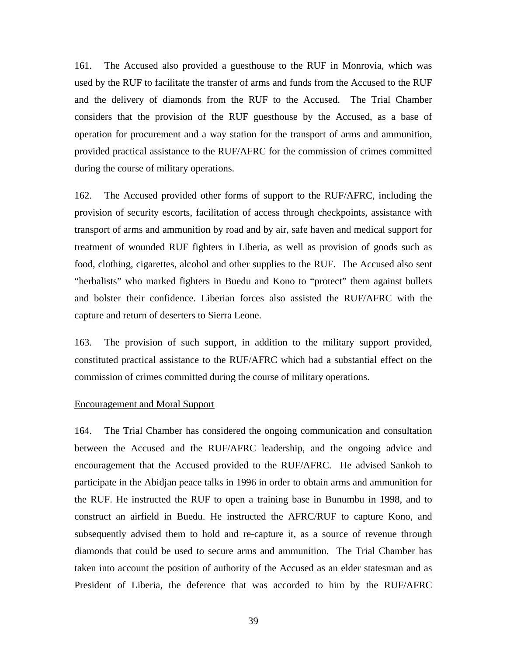161. The Accused also provided a guesthouse to the RUF in Monrovia, which was used by the RUF to facilitate the transfer of arms and funds from the Accused to the RUF and the delivery of diamonds from the RUF to the Accused. The Trial Chamber considers that the provision of the RUF guesthouse by the Accused, as a base of operation for procurement and a way station for the transport of arms and ammunition, provided practical assistance to the RUF/AFRC for the commission of crimes committed during the course of military operations.

162. The Accused provided other forms of support to the RUF/AFRC, including the provision of security escorts, facilitation of access through checkpoints, assistance with transport of arms and ammunition by road and by air, safe haven and medical support for treatment of wounded RUF fighters in Liberia, as well as provision of goods such as food, clothing, cigarettes, alcohol and other supplies to the RUF. The Accused also sent "herbalists" who marked fighters in Buedu and Kono to "protect" them against bullets and bolster their confidence. Liberian forces also assisted the RUF/AFRC with the capture and return of deserters to Sierra Leone.

163. The provision of such support, in addition to the military support provided, constituted practical assistance to the RUF/AFRC which had a substantial effect on the commission of crimes committed during the course of military operations.

#### Encouragement and Moral Support

164. The Trial Chamber has considered the ongoing communication and consultation between the Accused and the RUF/AFRC leadership, and the ongoing advice and encouragement that the Accused provided to the RUF/AFRC. He advised Sankoh to participate in the Abidjan peace talks in 1996 in order to obtain arms and ammunition for the RUF. He instructed the RUF to open a training base in Bunumbu in 1998, and to construct an airfield in Buedu. He instructed the AFRC/RUF to capture Kono, and subsequently advised them to hold and re-capture it, as a source of revenue through diamonds that could be used to secure arms and ammunition. The Trial Chamber has taken into account the position of authority of the Accused as an elder statesman and as President of Liberia, the deference that was accorded to him by the RUF/AFRC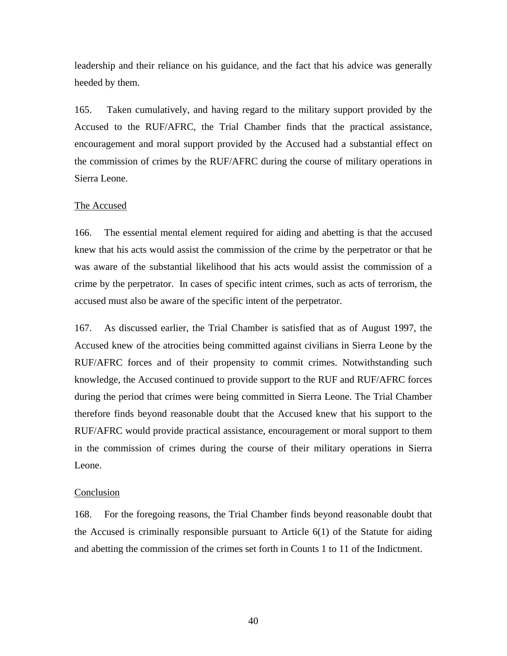leadership and their reliance on his guidance, and the fact that his advice was generally heeded by them.

165. Taken cumulatively, and having regard to the military support provided by the Accused to the RUF/AFRC, the Trial Chamber finds that the practical assistance, encouragement and moral support provided by the Accused had a substantial effect on the commission of crimes by the RUF/AFRC during the course of military operations in Sierra Leone.

#### The Accused

166. The essential mental element required for aiding and abetting is that the accused knew that his acts would assist the commission of the crime by the perpetrator or that he was aware of the substantial likelihood that his acts would assist the commission of a crime by the perpetrator. In cases of specific intent crimes, such as acts of terrorism, the accused must also be aware of the specific intent of the perpetrator.

167. As discussed earlier, the Trial Chamber is satisfied that as of August 1997, the Accused knew of the atrocities being committed against civilians in Sierra Leone by the RUF/AFRC forces and of their propensity to commit crimes. Notwithstanding such knowledge, the Accused continued to provide support to the RUF and RUF/AFRC forces during the period that crimes were being committed in Sierra Leone. The Trial Chamber therefore finds beyond reasonable doubt that the Accused knew that his support to the RUF/AFRC would provide practical assistance, encouragement or moral support to them in the commission of crimes during the course of their military operations in Sierra Leone.

#### Conclusion

168. For the foregoing reasons, the Trial Chamber finds beyond reasonable doubt that the Accused is criminally responsible pursuant to Article 6(1) of the Statute for aiding and abetting the commission of the crimes set forth in Counts 1 to 11 of the Indictment.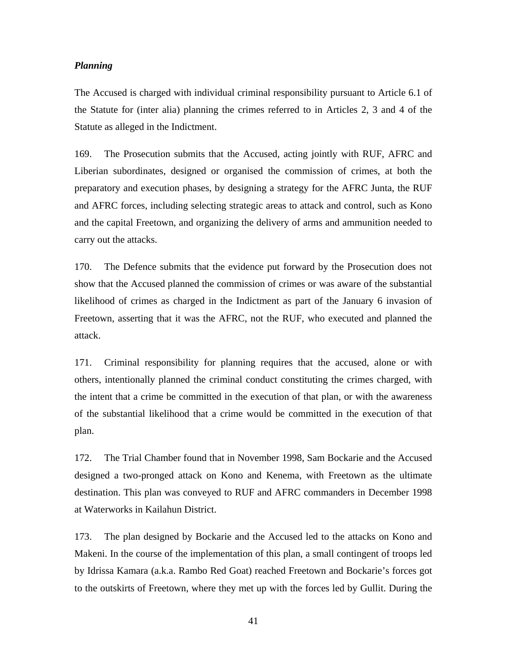#### *Planning*

The Accused is charged with individual criminal responsibility pursuant to Article 6.1 of the Statute for (inter alia) planning the crimes referred to in Articles 2, 3 and 4 of the Statute as alleged in the Indictment.

169. The Prosecution submits that the Accused, acting jointly with RUF, AFRC and Liberian subordinates, designed or organised the commission of crimes, at both the preparatory and execution phases, by designing a strategy for the AFRC Junta, the RUF and AFRC forces, including selecting strategic areas to attack and control, such as Kono and the capital Freetown, and organizing the delivery of arms and ammunition needed to carry out the attacks.

170. The Defence submits that the evidence put forward by the Prosecution does not show that the Accused planned the commission of crimes or was aware of the substantial likelihood of crimes as charged in the Indictment as part of the January 6 invasion of Freetown, asserting that it was the AFRC, not the RUF, who executed and planned the attack.

171. Criminal responsibility for planning requires that the accused, alone or with others, intentionally planned the criminal conduct constituting the crimes charged, with the intent that a crime be committed in the execution of that plan, or with the awareness of the substantial likelihood that a crime would be committed in the execution of that plan.

172. The Trial Chamber found that in November 1998, Sam Bockarie and the Accused designed a two-pronged attack on Kono and Kenema, with Freetown as the ultimate destination. This plan was conveyed to RUF and AFRC commanders in December 1998 at Waterworks in Kailahun District.

173. The plan designed by Bockarie and the Accused led to the attacks on Kono and Makeni. In the course of the implementation of this plan, a small contingent of troops led by Idrissa Kamara (a.k.a. Rambo Red Goat) reached Freetown and Bockarie's forces got to the outskirts of Freetown, where they met up with the forces led by Gullit. During the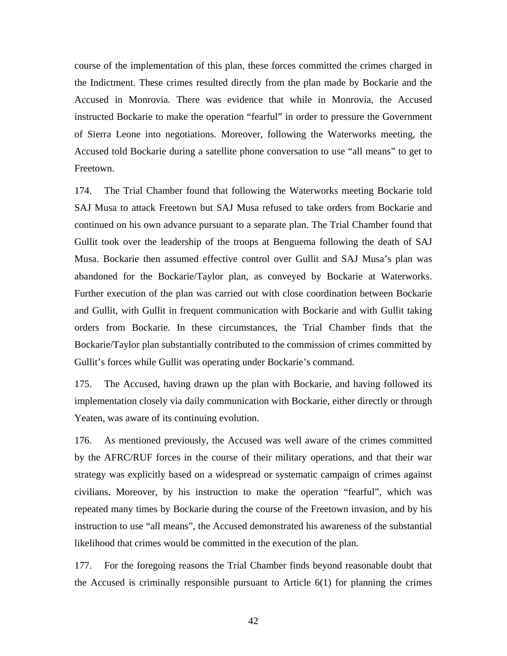course of the implementation of this plan, these forces committed the crimes charged in the Indictment. These crimes resulted directly from the plan made by Bockarie and the Accused in Monrovia. There was evidence that while in Monrovia, the Accused instructed Bockarie to make the operation "fearful" in order to pressure the Government of Sierra Leone into negotiations. Moreover, following the Waterworks meeting, the Accused told Bockarie during a satellite phone conversation to use "all means" to get to Freetown.

174. The Trial Chamber found that following the Waterworks meeting Bockarie told SAJ Musa to attack Freetown but SAJ Musa refused to take orders from Bockarie and continued on his own advance pursuant to a separate plan. The Trial Chamber found that Gullit took over the leadership of the troops at Benguema following the death of SAJ Musa. Bockarie then assumed effective control over Gullit and SAJ Musa's plan was abandoned for the Bockarie/Taylor plan, as conveyed by Bockarie at Waterworks. Further execution of the plan was carried out with close coordination between Bockarie and Gullit, with Gullit in frequent communication with Bockarie and with Gullit taking orders from Bockarie. In these circumstances, the Trial Chamber finds that the Bockarie/Taylor plan substantially contributed to the commission of crimes committed by Gullit's forces while Gullit was operating under Bockarie's command.

175. The Accused, having drawn up the plan with Bockarie, and having followed its implementation closely via daily communication with Bockarie, either directly or through Yeaten, was aware of its continuing evolution.

176. As mentioned previously, the Accused was well aware of the crimes committed by the AFRC/RUF forces in the course of their military operations, and that their war strategy was explicitly based on a widespread or systematic campaign of crimes against civilians. Moreover, by his instruction to make the operation "fearful", which was repeated many times by Bockarie during the course of the Freetown invasion, and by his instruction to use "all means", the Accused demonstrated his awareness of the substantial likelihood that crimes would be committed in the execution of the plan.

177. For the foregoing reasons the Trial Chamber finds beyond reasonable doubt that the Accused is criminally responsible pursuant to Article 6(1) for planning the crimes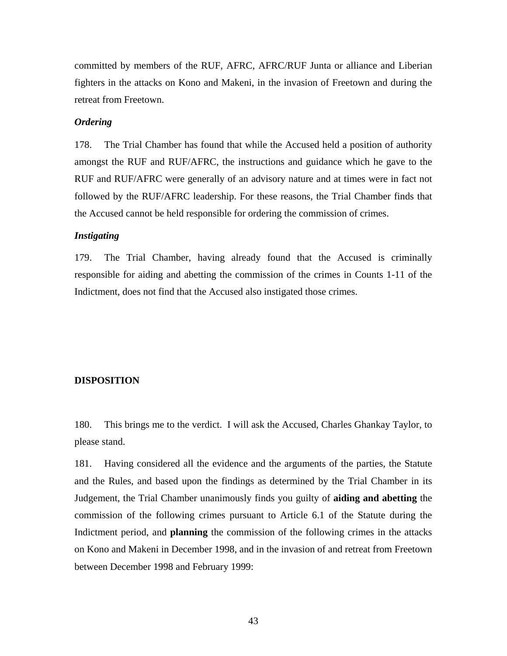committed by members of the RUF, AFRC, AFRC/RUF Junta or alliance and Liberian fighters in the attacks on Kono and Makeni, in the invasion of Freetown and during the retreat from Freetown.

#### *Ordering*

178. The Trial Chamber has found that while the Accused held a position of authority amongst the RUF and RUF/AFRC, the instructions and guidance which he gave to the RUF and RUF/AFRC were generally of an advisory nature and at times were in fact not followed by the RUF/AFRC leadership. For these reasons, the Trial Chamber finds that the Accused cannot be held responsible for ordering the commission of crimes.

#### *Instigating*

179. The Trial Chamber, having already found that the Accused is criminally responsible for aiding and abetting the commission of the crimes in Counts 1-11 of the Indictment, does not find that the Accused also instigated those crimes.

#### **DISPOSITION**

180. This brings me to the verdict. I will ask the Accused, Charles Ghankay Taylor, to please stand.

181. Having considered all the evidence and the arguments of the parties, the Statute and the Rules, and based upon the findings as determined by the Trial Chamber in its Judgement, the Trial Chamber unanimously finds you guilty of **aiding and abetting** the commission of the following crimes pursuant to Article 6.1 of the Statute during the Indictment period, and **planning** the commission of the following crimes in the attacks on Kono and Makeni in December 1998, and in the invasion of and retreat from Freetown between December 1998 and February 1999: